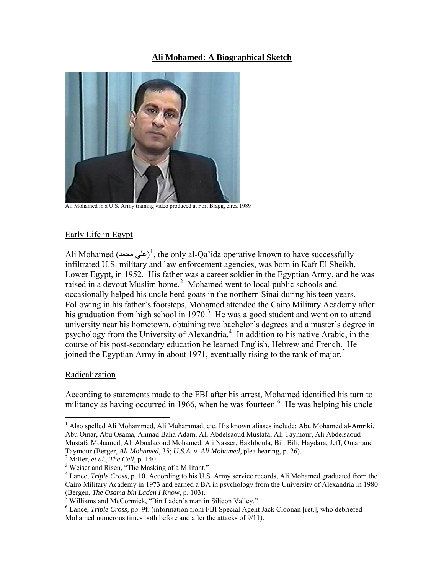## **Ali Mohamed: A Biographical Sketch**



Ali Mohamed in a U.S. Army training video produced at Fort Bragg, circa 1989

# Early Life in Egypt

Ali Mohamed (علي محمد)<sup>[1](#page-0-0)</sup>, the only al-Qa'ida operative known to have successfully infiltrated U.S. military and law enforcement agencies, was born in Kafr El Sheikh, Lower Egypt, in 1952. His father was a career soldier in the Egyptian Army, and he was raised in a devout Muslim home.<sup>[2](#page-0-1)</sup> Mohamed went to local public schools and occasionally helped his uncle herd goats in the northern Sinai during his teen years. Following in his father's footsteps, Mohamed attended the Cairo Military Academy after his graduation from high school in 1970.<sup>[3](#page-0-2)</sup> He was a good student and went on to attend university near his hometown, obtaining two bachelor's degrees and a master's degree in psychology from the University of Alexandria.<sup>[4](#page-0-3)</sup> In addition to his native Arabic, in the course of his post-secondary education he learned English, Hebrew and French. He joined the Egyptian Army in about 1971, eventually rising to the rank of major.<sup>[5](#page-0-4)</sup>

## Radicalization

 $\overline{a}$ 

According to statements made to the FBI after his arrest, Mohamed identified his turn to militancy as having occurred in 19[6](#page-0-5)6, when he was fourteen.<sup>6</sup> He was helping his uncle

<span id="page-0-0"></span><sup>&</sup>lt;sup>1</sup> Also spelled Ali Mohammed, Ali Muhammad, etc. His known aliases include: Abu Mohamed al-Amriki, Abu Omar, Abu Osama, Ahmad Baha Adam, Ali Abdelsaoud Mustafa, Ali Taymour, Ali Abdelsaoud Mustafa Mohamed, Ali Abualacoud Mohamed, Ali Nasser, Bakhboula, Bili Bili, Haydara, Jeff, Omar and Taymour (Berger, *Ali Mohamed*, 35; *U.S.A. v. Ali Mohamed*, plea hearing, p. 26). 2

<span id="page-0-1"></span> $^2$  Miller, *et al.*, *The Cell*, p. 140.

<span id="page-0-2"></span><sup>&</sup>lt;sup>3</sup> Weiser and Risen, "The Masking of a Militant."

<span id="page-0-3"></span><sup>&</sup>lt;sup>4</sup> Lance, *Triple Cross*, p. 10. According to his U.S. Army service records, Ali Mohamed graduated from the Cairo Military Academy in 1973 and earned a BA in psychology from the University of Alexandria in 1980 (Bergen, *The Osama bin Laden I Know*, p. 103). 5

<span id="page-0-4"></span> $\delta$  Williams and McCormick, "Bin Laden's man in Silicon Valley."

<span id="page-0-5"></span><sup>&</sup>lt;sup>6</sup> Lance, *Triple Cross*, pp. 9f. (information from FBI Special Agent Jack Cloonan [ret.], who debriefed Mohamed numerous times both before and after the attacks of 9/11).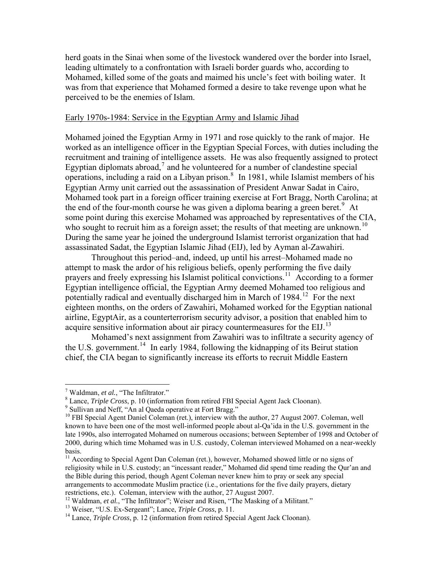herd goats in the Sinai when some of the livestock wandered over the border into Israel, leading ultimately to a confrontation with Israeli border guards who, according to Mohamed, killed some of the goats and maimed his uncle's feet with boiling water. It was from that experience that Mohamed formed a desire to take revenge upon what he perceived to be the enemies of Islam.

#### Early 1970s-1984: Service in the Egyptian Army and Islamic Jihad

Mohamed joined the Egyptian Army in 1971 and rose quickly to the rank of major. He worked as an intelligence officer in the Egyptian Special Forces, with duties including the recruitment and training of intelligence assets. He was also frequently assigned to protect Egyptian diplomats abroad, $<sup>7</sup>$  $<sup>7</sup>$  $<sup>7</sup>$  and he volunteered for a number of clandestine special</sup> operations, including a raid on a Libyan prison.<sup>[8](#page-1-1)</sup> In 1981, while Islamist members of his Egyptian Army unit carried out the assassination of President Anwar Sadat in Cairo, Mohamed took part in a foreign officer training exercise at Fort Bragg, North Carolina; at the end of the four-month course he was given a diploma bearing a green beret.<sup>[9](#page-1-2)</sup> At some point during this exercise Mohamed was approached by representatives of the CIA, who sought to recruit him as a foreign asset; the results of that meeting are unknown.<sup>10</sup> During the same year he joined the underground Islamist terrorist organization that had assassinated Sadat, the Egyptian Islamic Jihad (EIJ), led by Ayman al-Zawahiri.

 Throughout this period–and, indeed, up until his arrest–Mohamed made no attempt to mask the ardor of his religious beliefs, openly performing the five daily prayers and freely expressing his Islamist political convictions.[11](#page-1-3) According to a former Egyptian intelligence official, the Egyptian Army deemed Mohamed too religious and potentially radical and eventually discharged him in March of  $1984$ <sup>[12](#page-1-4)</sup> For the next eighteen months, on the orders of Zawahiri, Mohamed worked for the Egyptian national airline, EgyptAir, as a counterterrorism security advisor, a position that enabled him to acquire sensitive information about air piracy countermeasures for the EIJ.<sup>[13](#page-1-5)</sup>

chief, the CIA began to significantly increase its efforts to recruit Middle Eastern Mohamed's next assignment from Zawahiri was to infiltrate a security agency of the U.S. government.<sup>[14](#page-1-6)</sup> In early 1984, following the kidnapping of its Beirut station

1

<span id="page-1-0"></span><sup>&</sup>lt;sup>7</sup> Waldman, *et al.*, "The Infiltrator."<br><sup>8</sup> Lange *Triple Cross.* **p.** 10 (information)

Lance, *Triple Cross*, p. 10 (information from retired FBI Special Agent Jack Cloonan). 9

<span id="page-1-2"></span><span id="page-1-1"></span><sup>&</sup>lt;sup>9</sup> Sullivan and Neff, "An al Qaeda operative at Fort Bragg."

<sup>&</sup>lt;sup>10</sup> FBI Special Agent Daniel Coleman (ret.), interview with the author, 27 August 2007. Coleman, well known to have been one of the most well-informed people about al-Qa'ida in the U.S. government in the late 1990s, also interrogated Mohamed on numerous occasions; between September of 1998 and October of 2000, during which time Mohamed was in U.S. custody, Coleman interviewed Mohamed on a near-weekly basis.

<span id="page-1-3"></span> $<sup>11</sup>$  According to Special Agent Dan Coleman (ret.), however, Mohamed showed little or no signs of</sup> religiosity while in U.S. custody; an "incessant reader," Mohamed did spend time reading the Qur'an and the Bible during this period, though Agent Coleman never knew him to pray or seek any special arrangements to accommodate Muslim practice (i.e., orientations for the five daily prayers, dietary restrictions, etc.). Coleman, interview with the author, 27 August 2007.

<span id="page-1-5"></span><span id="page-1-4"></span><sup>&</sup>lt;sup>12</sup> Waldman, *et al.*, "The Infiltrator"; Weiser and Risen, "The Masking of a Militant."<br><sup>13</sup> Weiser, "U.S. Ex-Sergeant"; Lance, *Triple Cross*, p. 11.<br><sup>14</sup> Lance, *Triple Cross*, p. 12 (information from retired Special

<span id="page-1-6"></span>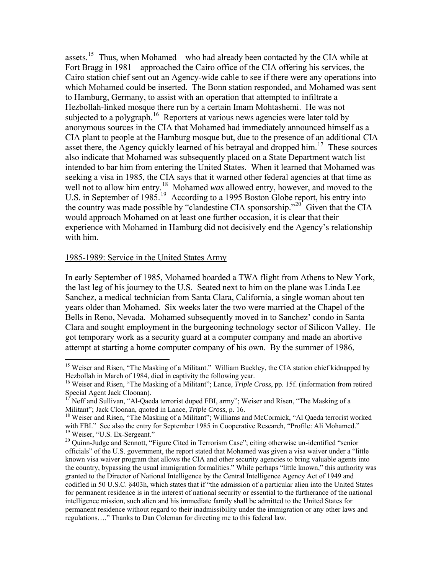assets.<sup>[15](#page-2-0)</sup> Thus, when Mohamed – who had already been contacted by the CIA while at Fort Bragg in 1981 – approached the Cairo office of the CIA offering his services, the Cairo station chief sent out an Agency-wide cable to see if there were any operations into which Mohamed could be inserted. The Bonn station responded, and Mohamed wa s sent to Hamburg, Germany, to assist with an operation that attempted to infiltrate a Hezbollah-linked mosque there run by a certain Imam Mohtashemi. He was not subjected to a polygraph.<sup>[16](#page-2-1)</sup> Reporters at various news agencies were later told by asset there, the Agency quickly learned of his betrayal and dropped him.<sup>[17](#page-2-2)</sup> These sources well not to allow him entry.<sup>[18](#page-2-3)</sup> Mohamed *was* allowed entry, however, and moved to the the country was made possible by "clandestine CIA sponsorship."<sup>[20](#page-2-5)</sup> Given that the CIA experience with Mohamed in Hamburg did not decisively end the Agency's relationship anonymous sources in the CIA that Mohamed had immediately announced himself as a CIA plant to people at the Hamburg mosque but, due to the presence of an additional CIA also indicate that Mohamed was subsequently placed on a State Department watch list intended to bar him from entering the United States. When it learned that Mohamed was seeking a visa in 1985, the CIA says that it warned other federal agencies at that time as U.S. in September of [19](#page-2-4)85.<sup>19</sup> According to a 1995 Boston Globe report, his entry into would approach Mohamed on at least one further occasion, it is clear that their with him.

#### 1985-1989: Service in the United States Army

 $\overline{a}$ 

In early September of 1985, Mohamed boarded a TWA flight from Athens to New York, Clara and sought employment in the burgeoning technology sector of Silicon Valley. He the last leg of his journey to the U.S. Seated next to him on the plane was Linda Lee Sanchez, a medical technician from Santa Clara, California, a single woman about ten years older than Mohamed. Six weeks later the two were married at the Chapel of the Bells in Reno, Nevada. Mohamed subsequently moved in to Sanchez' condo in Santa got temporary work as a security guard at a computer company and made an abortive attempt at starting a home computer company of his own. By the summer of 1986,

<span id="page-2-0"></span><sup>&</sup>lt;sup>15</sup> Weiser and Risen, "The Masking of a Militant." William Buckley, the CIA station chief kidnapped by Hezbollah in March of 1984, died in captivity the following year.

<span id="page-2-1"></span><sup>&</sup>lt;sup>16</sup> Weiser and Risen, "The Masking of a Militant"; Lance, *Triple Cross*, pp. 15f. (information from retired Special Agent Jack Cloonan).

<span id="page-2-2"></span> $17$  Neff and Sullivan, "Al-Qaeda terrorist duped FBI, army"; Weiser and Risen, "The Masking of a Militant"; Jack Cloonan, quoted in Lance, *Triple Cross*, p. 16.<br><sup>18</sup> Weiser and Risen, "The Masking of a Militant"; Williams and McCormick, "Al Qaeda terrorist worked

<span id="page-2-3"></span>with FBI." See also the entry for September 1985 in Cooperative Research, "Profile: Ali Mohamed." Weiser, "U.S. Ex-Sergeant."

<span id="page-2-5"></span><span id="page-2-4"></span><sup>&</sup>lt;sup>20</sup> Quinn-Judge and Sennott, "Figure Cited in Terrorism Case"; citing otherwise un-identified "senior officials" of the U.S. government, the report stated that Mohamed was given a visa waiver under a "little known visa waiver program that allows the CIA and other security agencies to bring valuable agents into the country, bypassing the usual immigration formalities." While perhaps "little known," this authority was granted to the Director of National Intelligence by the Central Intelligence Agency Act of 1949 and codified in 50 U.S.C. §403h, which states that if "the admission of a particular alien into the United States for permanent residence is in the interest of national security or essential to the furtherance of the national intelligence mission, such alien and his immediate family shall be admitted to the United States for permanent residence without regard to their inadmissibility under the immigration or any other laws and regulations…." Thanks to Dan Coleman for directing me to this federal law.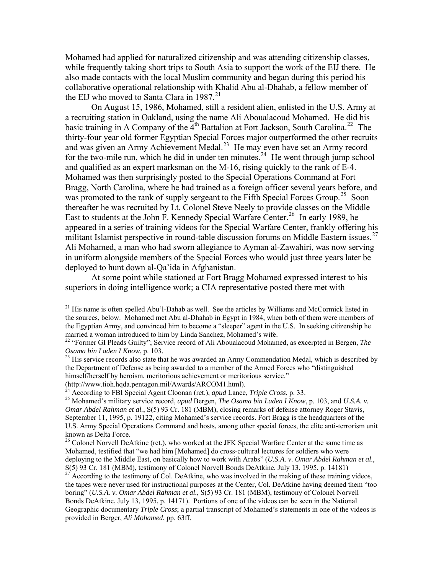Mohamed had applied for naturalized citizenship and was attending citizenship class es, while frequently taking short trips to South Asia to support the work of the EIJ there. He also made contacts with the local Muslim community and began during this period his collaborative operational relationship with Khalid Abu al-Dhahab, a fellow member of the EIJ who moved to Santa Clara in 1987.<sup>[21](#page-3-0)</sup>

On August 15, 1986, Mohamed, still a resident alien, enlisted in the U.S. Army at thirty-four year old former Egyptian Special Forces major outperformed the other recruits for the two-mile run, which he did in under ten minutes.<sup>[24](#page-3-3)</sup> He went through jump school Bragg, North Carolina, where he had trained as a foreign officer several years before, and appeared in a series of training videos for the Special Warfare Center, frankly offering his a recruiting station in Oakland, using the name Ali Aboualacoud Mohamed. He did his basic training in A Company of the  $\overline{4}^{th}$  Battalion at Fort Jackson, South Carolina.<sup>[22](#page-3-1)</sup> The and was given an Army Achievement Medal.<sup>[23](#page-3-2)</sup> He may even have set an Army record and qualified as an expert marksman on the M-16, rising quickly to the rank of E-4. Mohamed was then surprisingly posted to the Special Operations Command at Fort was promoted to the rank of supply sergeant to the Fifth Special Forces Group.<sup>[25](#page-3-4)</sup> Soon thereafter he was recruited by Lt. Colonel Steve Neely to provide classes on the Middle East to students at the John F. Kennedy Special Warfare Center.<sup>[26](#page-3-5)</sup> In early 1989, he militant Islamist perspective in round-table discussion forums on Middle Eastern issues.<sup>[27](#page-3-6)</sup> Ali Mohamed, a man who had sworn allegiance to Ayman al-Zawahiri, was now serving in uniform alongside members of the Special Forces who would just three years later be deployed to hunt down al-Qa'ida in Afghanistan.

At some point while stationed at Fort Bragg Mohamed expressed interest to his superiors in doing intelligence work; a CIA representative posted there met with

(http://www.tioh.hqda.pentagon.mil/Awards/ARCOM1.html).<br><sup>24</sup> According to FBI Special Agent Cloonan (ret.), *apud* Lance, *Triple Cross*, p. 33.

<span id="page-3-0"></span><sup>&</sup>lt;sup>21</sup> His name is often spelled Abu'l-Dahab as well. See the articles by Williams and McCormick listed in the sources, below. Mohamed met Abu al-Dhahab in Egypt in 1984, when both of them were members of the Egyptian Army, and convinced him to become a "sleeper" agent in the U.S. In seeking citizenship he married a woman introduced to him by Linda Sanchez, Mohamed's wife.

<span id="page-3-1"></span><sup>22 &</sup>quot;Former GI Pleads Guilty"; Service record of Ali Aboualacoud Mohamed, as excerpted in Bergen, *The Osama bin Laden I Know*, p. 103.<br><sup>23</sup> His service records also state that he was awarded an Army Commendation Medal, which is described by

<span id="page-3-2"></span>the Department of Defense as being awarded to a member of the Armed Forces who "distinguished himself/herself by heroism, meritorious achievement or meritorious service."

<span id="page-3-4"></span><span id="page-3-3"></span><sup>&</sup>lt;sup>25</sup> Mohamed's military service record, *apud* Bergen, *The Osama bin Laden I Know*, p. 103, and *U.S.A. v. Omar Abdel Rahman et al.*, S(5) 93 Cr. 181 (MBM), closing remarks of defense attorney Roger Stavis, September 11, 1995, p. 19122, citing Mohamed's service records. Fort Bragg is the headquarters of the U.S. Army Special Operations Command and hosts, among other special forces, the elite anti-terrorism unit known as Delta Force.

<span id="page-3-5"></span> $26$  Colonel Norvell DeAtkine (ret.), who worked at the JFK Special Warfare Center at the same time as Mohamed, testified that "we had him [Mohamed] do cross-cultural lectures for soldiers who were deploying to the Middle East, on basically how to work with Arabs" (*U.S.A. v. Omar Abdel Rahman et al.*, S(5) 93 Cr. 181 (MBM), testimony of Colonel Norvell Bonds DeAtkine, July 13, 1995, p. 14181)

<span id="page-3-6"></span> $27$  According to the testimony of Col. DeAtkine, who was involved in the making of these training videos, the tapes were never used for instructional purposes at the Center, Col. DeAtkine having deemed them "too boring" (*U.S.A. v. Omar Abdel Rahman et al.*, S(5) 93 Cr. 181 (MBM), testimony of Colonel Norvell Bonds DeAtkine, July 13, 1995, p. 14171). Portions of one of the videos can be seen in the National Geographic documentary *Triple Cross*; a partial transcript of Mohamed's statements in one of the videos is provided in Berger, *Ali Mohamed*, pp. 63ff.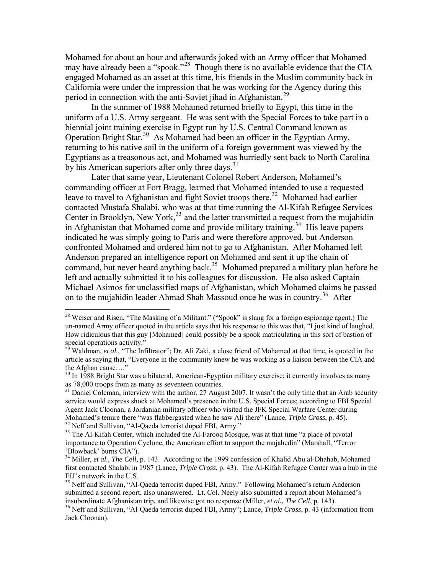Mohamed for about an hour and afterwards joked with an Army officer that Mohamed may have already been a "spook."<sup>[28](#page-4-0)</sup> Though there is no available evidence that the CIA engaged Mohamed as an asset at this time, his friends in the Muslim community back in California were under the impression that he was working for the Agency during this period in connection with the anti-Soviet jihad in Afghanistan.<sup>[29](#page-4-1)</sup>

[uniform of a U.S. Army sergeant. He was sent with the Special F](#page-4-1)orces to take part in a biennial joint training exercise in Egypt run by U.S. Central Command known as returning to his native soil in the uniform of a foreign government was viewed by the Egyptians as a treasonous act, and Mohamed was hurriedly sent back to North Carolina  [In the summer of 1988 Mohamed returned briefly to Egypt, this time in the](#page-4-1)  Operation Bright Star.<sup>[30](#page-4-2)</sup> As Mohamed had been an officer in the Egyptian Army, by his American superiors after only three days.<sup>[31](#page-4-3)</sup>

[commanding officer at Fort Bragg, learned that Mo](#page-4-3)hamed intended to use a requested leave to travel to Afghanistan and fight Soviet troops there.<sup>[32](#page-4-4)</sup> Mohamed had earlier contacted Mustafa Shalabi, who was at that time running the Al-Kifah Refugee Services Center in Brooklyn, New York,<sup>[33](#page-4-5)</sup> and the latter transmitted a request from the mujahidin command, but never heard anything back.<sup>[35](#page-4-7)</sup> Mohamed prepared a military plan before he left and actually submitted it to his colleagues for discussion. He also asked Captain  [Later that same year, Lieutenant Colonel Robert Anderson, Mohamed's](#page-4-3)  in Afghanistan that Mohamed come and provide military training.<sup>[34](#page-4-6)</sup> His leave papers indicated he was simply going to Paris and were therefore approved, but Anderson confronted Mohamed and ordered him not to go to Afghanistan. After Mohamed left Anderson prepared an intelligence report on Mohamed and sent it up the chain of Michael Asimos for unclassified maps of Afghanistan, which Mohamed claims he passed on to the mujahidin leader Ahmad Shah Massoud once he was in country.<sup>[36](#page-4-8)</sup> After

1

<span id="page-4-0"></span> $^{28}$  Weiser and Risen, "The Masking of a Militant." ("Spook" is slang for a foreign espionage agent.) The un-named Army officer quoted in the article says that his response to this was that, "I just kind of laughed. How ridiculous that this guy [Mohamed] could possibly be a spook matriculating in this sort of bastion of special operations activity."

<span id="page-4-1"></span>article as saying that, "Everyone in the community knew he was working as a liaison between the CIA and Waldman, *et al.*, "The Infiltrator"; Dr. Ali Zaki, a close friend of Mohamed at that time, is quoted in the the Afghan cause...."

<span id="page-4-2"></span>as 78,000 troops from as many as seventeen countries.  $30 \text{ In } 1988$  Bright Star was a bilateral, American-Egyptian military exercise; it currently involves as many

<span id="page-4-3"></span> $31$  Daniel Coleman, interview with the author, 27 August 2007. It wasn't the only time that an Arab security service would express shock at Mohamed's presence in the U.S. Special Forces; according to FBI Special Agent Jack Cloonan, a Jordanian military officer who visited the JFK Special Warfare Center during Mohamed's tenure there "was flabbergasted when he saw Ali there" (Lance, *Triple Cross*, p. 45).<br><sup>32</sup> Neff and Sullivan, "Al-Qaeda terrorist duped FBI, Army."

<span id="page-4-5"></span><span id="page-4-4"></span><sup>&</sup>lt;sup>33</sup> The Al-Kifah Center, which included the Al-Farooq Mosque, was at that time "a place of pivotal importance to Operation Cyclone, the American effort to support the mujahedin" (Marshall, "Terror 'Blowback' burns CIA").

<span id="page-4-6"></span><sup>&</sup>lt;sup>34</sup> Miller, *et al., The Cell*, p. 143. According to the 1999 confession of Khalid Abu al-Dhahab, Mohamed first contacted Shalabi in 1987 (Lance, *Triple Cross*, p. 43). The Al-Kifah Refugee Center was a hub in the EIJ's network in the U.S.

<span id="page-4-7"></span>submitted a second report, also unanswered. Lt. Col. Neely also submitted a report about Mohamed's insubordinate Afghanistan trip, and likewise got no response (Miller, *et al., The Cell*, p. 143).<br><sup>36</sup> Neff and Sullivan, "Al-Qaeda terrorist duped FBI, Army"; Lance, *Triple Cross*, p. 43 (information from <sup>35</sup> Neff and Sullivan, "Al-Qaeda terrorist duped FBI, Army." Following Mohamed's return Anderson

<span id="page-4-8"></span>Jack Cloonan).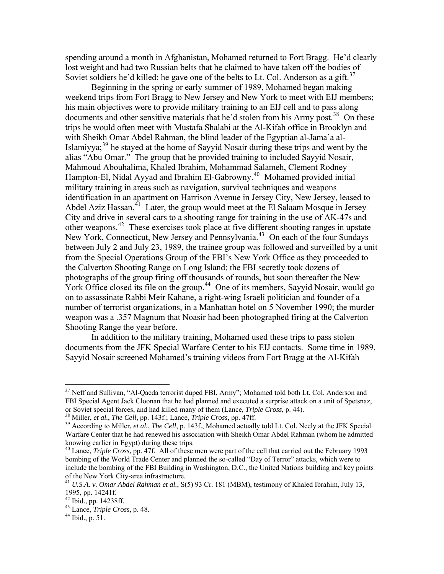spending around a month in Afghanistan, Mohamed returned to Fort Bragg. He'd c learly lost weight and had two Russian belts that he claimed to have taken off the bodies of Soviet soldiers he'd killed; he gave one of the belts to Lt. Col. Anderson as a gift.<sup>[37](#page-5-0)</sup>

weekend trips from Fort Bragg to New Jersey and New York to meet with EIJ members; documents and other sensitive materials that he'd stolen from his Army post.<sup>[38](#page-5-1)</sup> On these Islamiyya; $39$  he stayed at the home of Sayyid Nosair during these trips and went by the Hampton-El, Nidal Ayyad and Ibrahim El-Gabrowny.<sup>[40](#page-5-3)</sup> Mohamed provided initial identification in an apartment on Harrison Avenue in Jersey City, New Jersey, leased to between July 2 and July 23, 1989, the trainee group was followed and surveilled by a unit photographs of the group firing off thousands of rounds, but soon thereafter the New York Office closed its file on the group.<sup>[44](#page-5-7)</sup> One of its members, Sayyid Nosair, would go number of terrorist organizations, in a Manhattan hotel on 5 November 1990; the murder  [Beginning in the spring or early summer of 1989, Mohamed began making](#page-5-0)  his main objectives were to provide military training to an EIJ cell and to pass along trips he would often meet with Mustafa Shalabi at the Al-Kifah office in Brooklyn and with Sheikh Omar Abdel Rahman, the blind leader of the Egyptian al-Jama'a alalias "Abu Omar." The group that he provided training to included Sayyid Nosair, Mahmoud Abouhalima, Khaled Ibrahim, Mohammad Salameh, Clement Rodney military training in areas such as navigation, survival techniques and weapons Abdel Aziz Hassan.<sup>[41](#page-5-4)</sup> Later, the group would meet at the El Salaam Mosque in Jersey City and drive in several cars to a shooting range for training in the use of AK-47s and other weapons.<sup>[42](#page-5-5)</sup> These exercises took place at five different shooting ranges in upstate New York, Connecticut, New Jersey and Pennsylvania.<sup>[43](#page-5-6)</sup> On each of the four Sundays from the Special Operations Group of the FBI's New York Office as they proceeded to the Calverton Shooting Range on Long Island; the FBI secretly took dozens of on to assassinate Rabbi Meir Kahane, a right-wing Israeli politician and founder of a weapon was a .357 Magnum that Noasir had been photographed firing at the Calverton Shooting Range the year before.

In addition to the military training, Mohamed used these trips to pass stolen documents from the JFK Special Warfare Center to his EIJ contacts. Some time in 1989, Sayyid Nosair screened Mohamed's training videos from Fort Bragg at the Al-Kifah

<span id="page-5-0"></span><sup>&</sup>lt;sup>37</sup> Neff and Sullivan, "Al-Qaeda terrorist duped FBI, Army"; Mohamed told both Lt. Col. Anderson and FBI Special Agent Jack Cloonan that he had planned and executed a surprise attack on a unit of Spetsnaz, or Soviet special forces, and had killed many of them (Lance, *Triple Cross*, p. 44).<br><sup>38</sup> Miller, *et al., The Cell*, pp. 143f.; Lance, *Triple Cross*, pp. 47ff.<br><sup>39</sup> According to Miller, *et al., The Cell*, p. 143f., Moh

<span id="page-5-2"></span><span id="page-5-1"></span>Warfare Center that he had renewed his association with Sheikh Omar Abdel Rahman (whom he admitted knowing earlier in Egypt) during these trips.

<span id="page-5-3"></span><sup>40</sup> Lance, *Triple Cross*, pp. 47f. All of these men were part of the cell that carried out the February 1993 bombing of the World Trade Center and planned the so-called "Day of Terror" attacks, which were to include the bombing of the FBI Building in Washington, D.C., the United Nations building and key points of the New York City-area infrastructure. 41 *U.S.A. v. Omar Abdel Rahman et al.*, S(5) 93 Cr. 181 (MBM), testimony of Khaled Ibrahim, July 13,

<span id="page-5-4"></span><sup>1995,</sup> pp. 14241f.

<span id="page-5-5"></span> $42$  Ibid., pp. 14238ff.

<span id="page-5-7"></span><span id="page-5-6"></span><sup>43</sup> Lance, *Triple Cross*, p. 48. 44 Ibid., p. 51.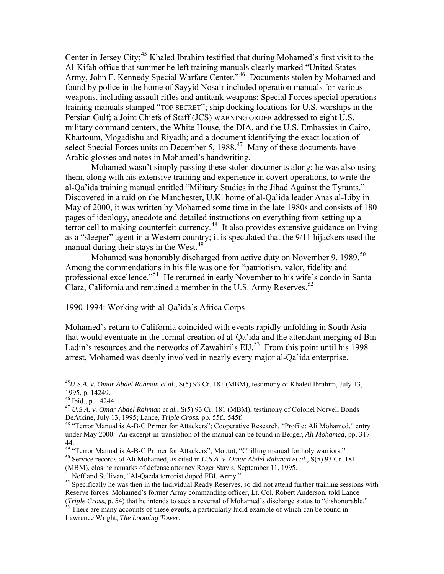Center in Jersey City;<sup>[45](#page-6-0)</sup> Khaled Ibrahim testified that during Mohamed's first visit to the Army, John F. Kennedy Special Warfare Center."<sup>[46](#page-6-1)</sup> Documents stolen by Mohamed and weapons, including assault rifles and antitank weapons; Special Forces special operations Al-Kifah office that summer he left training manuals clearly marked "United States found by police in the home of Sayyid Nosair included operation manuals for various training manuals stamped "TOP SECRET"; ship docking locations for U.S. warships in the Persian Gulf; a Joint Chiefs of Staff (JCS) WARNING ORDER addressed to eight U.S. military command centers, the White House, the DIA, and the U.S. Embassies in Cairo, Khartoum, Mogadishu and Riyadh; and a document identifying the exact location of select Special Forces units on December 5, 1988.<sup>[47](#page-6-2)</sup> Many of these documents have Arabic glosses and notes in Mohamed's handwriting.

Mohamed wasn't simply passing these stolen documents along; he was also using them, along with his extensive training and experience in covert operations, to write the al-Qa'ida training manual entitled "Military Studies in the Jihad Against the Tyrants." Discov ered in a raid on the Manchester, U.K. home of al-Qa'ida leader Anas al-Liby in terror cell to making counterfeit currency.<sup>[48](#page-6-3)</sup> It also provides extensive guidance on living May of 2000, it was written by Mohamed some time in the late 1980s and consists of 180 pages of ideology, anecdote and detailed instructions on everything from setting up a as a "sleeper" agent in a Western country; it is speculated that the 9/11 hijackers used the manual during their stays in the West.<sup>[49](#page-6-4)</sup>

[professional excellence."](#page-6-4)<sup>51</sup> He returned in early November to his wife's condo in Santa [C](#page-6-5)lara, California and remained a member in the U.S. Army Reserves.<sup>[52](#page-6-5)</sup> [Mohamed was honorably discharged from active duty on November 9, 1989.](#page-6-4)<sup>50</sup> [Among the commendations in his file was one for "patriotism, valor, fidelity and](#page-6-4) 

#### [1990-1994: Working with al-Qa'ida's Africa Corps](#page-6-5)

Mohamed's return to California coincided with events rapidly unfolding in South Asia that would eventuate in the formal creation of al-Qa'ida and the attendant merging of Bin Ladin's resources and the networks of Zawahiri's  $\overline{EII}$ .<sup>53</sup> From this point until his 1998 arrest, Mohamed was deeply involved in nearly every major al-Qa'ida enterprise.

<span id="page-6-0"></span><sup>45</sup>*U.S.A. v. Omar Abdel Rahman et al.*, S(5) 93 Cr. 181 (MBM), testimony of Khaled Ibrahim, July 13, 1995, p. 14249.

<span id="page-6-1"></span> $46$  Ibid., p. 14244.

<span id="page-6-2"></span><sup>&</sup>lt;sup>47</sup> U.S.A. v. Omar Abdel Rahman et al., S(5) 93 Cr. 181 (MBM), testimony of Colonel Norvell Bonds DeAtkine, July 13, 1995; Lance, *Triple Cross*, pp. 55f., 545f.

<span id="page-6-3"></span>under May 2000. An excerpt-in-translation of the manual can be found in Berger, *Ali Mohamed*, pp. 317-<sup>48</sup> "Terror Manual is A-B-C Primer for Attackers"; Cooperative Research, "Profile: Ali Mohamed," entry 44.

<span id="page-6-4"></span><sup>&</sup>lt;sup>50</sup> Service records of Ali Mohamed, as cited in *U.S.A. v. Omar Abdel Rahman et al.*, S(5) 93 Cr. 181 <sup>49</sup> "Terror Manual is A-B-C Primer for Attackers"; Moutot, "Chilling manual for holy warriors."<br><sup>50</sup> Service records of Ali Mohamed, as cited in *U.S.A. v. Omar Abdel Rahman et al.*, S(5) 93 Cr. 1

<span id="page-6-5"></span><sup>(</sup>MBM), closing remarks of defense attorney Roger Stavis, September 11, 1995.

 $<sup>51</sup>$  Neff and Sullivan, "Al-Qaeda terrorist duped FBI, Army."</sup>

 $52$  Specifically he was then in the Individual Ready Reserves, so did not attend further training sessions with Reserve forces. Mohamed's former Army commanding officer, Lt. Col. Robert Anderson, told Lance

<sup>(</sup>*Triple Cross*, p. 54) that he intends to seek a reversal of Mohamed's discharge status to "dishonorable." 53 There are many accounts of these events, a particularly lucid example of which can be found in Lawrence Wright, *The Looming Tower*.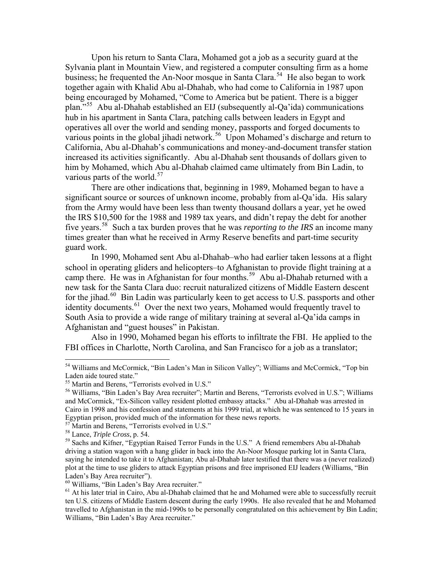Upon his return to Santa Clara, Mohamed got a job as a security guard at the Sylvania plant in Mountain View, and registered a computer consulting firm as a home business; he frequented the An-Noor mosque in Santa Clara.<sup>[54](#page-7-0)</sup> He also began to work together again with Khalid Abu al-Dhahab, who had come to California in 1987 upon being encouraged by Mohamed, "Come to America but be patient. There is a bigger plan."[55](#page-7-1) Abu al-Dhahab established an EIJ (subsequently al-Qa'ida) communications hub in his apartment in Santa Clara, patching calls between leaders in Egypt and operatives all over the world and sending money, passports and forged documents to various points in the global jihadi network.<sup>[56](#page-7-2)</sup> Upon Mohamed's discharge and return to California, Abu al-Dhahab's communications and money-and-document transfer station increased its activities significantly. Abu al-Dhahab sent thousands of dollars given to him by Mohamed, which Abu al-Dhahab claimed came ultimately from Bin Ladin, to various parts of the world.<sup>[57](#page-7-3)</sup>

significant source or sources of unknown income, probably from al-Qa'ida. His salary from the Army would have been less than twenty thousand dollars a year, yet he owed There are other indications that, beginning in 1989, Mohamed began to have a the IRS \$10,500 for the 1988 and 1989 tax years, and didn't repay the debt for another five years.[58](#page-7-4) Such a tax burden proves that he was *reporting to the IRS* an income many times greater than what he received in Army Reserve benefits and part-time security guard work.

In 1990, Mohamed sent Abu al-Dhahab–who had earlier taken lessons at a flight school in operating gliders and helicopters–to Afghanistan to provide flight training at a camp there. He was in Afghanistan for four months.<sup>[59](#page-7-5)</sup> Abu al-Dhahab returned with a for the jihad. $^{60}$  $^{60}$  $^{60}$  Bin Ladin was particularly keen to get access to U.S. passports and other new task for the Santa Clara duo: recruit naturalized citizens of Middle Eastern descent identity documents.<sup>[61](#page-7-7)</sup> Over the next two years, Mohamed would frequently travel to South Asia to provide a wide range of military training at several al-Qa'ida camps in Afghanistan and "guest houses" in Pakistan.

Also in 1990, Mohamed began his efforts to infiltrate the FBI. He applied to the FBI offices in Charlotte, North Carolina, and San Francisco for a job as a translator;

<span id="page-7-4"></span><span id="page-7-3"></span> $^{57}$  Martin and Berens, "Terrorists evolved in U.S."<br><sup>58</sup> Lance, *Triple Cross*, p. 54.

1

<span id="page-7-6"></span>60 Williams, "Bin Laden's Bay Area recruiter."

<span id="page-7-0"></span><sup>54</sup> Williams and McCormick, "Bin Laden's Man in Silicon Valley"; Williams and McCormick, "Top bin Laden aide toured state."

<span id="page-7-1"></span><sup>55</sup> Martin and Berens, "Terrorists evolved in U.S."

<span id="page-7-2"></span><sup>56</sup> Williams, "Bin Laden's Bay Area recruiter"; Martin and Berens, "Terrorists evolved in U.S."; Williams and McCormick, "Ex-Silicon valley resident plotted embassy attacks." Abu al-Dhahab was arrested in Cairo in 1998 and his confession and statements at his 1999 trial, at which he was sentenced to 15 years in Egyptian prison, provided much of the information for these news reports.

<span id="page-7-5"></span><sup>&</sup>lt;sup>59</sup> Sachs and Kifner, "Egyptian Raised Terror Funds in the U.S." A friend remembers Abu al-Dhahab driving a station wagon with a hang glider in back into the An-Noor Mosque parking lot in Santa Clara, saying he intended to take it to Afghanistan; Abu al-Dhahab later testified that there was a (never realized) plot at the time to use gliders to attack Egyptian prisons and free imprisoned EIJ leaders (Williams, "Bin Laden's Bay Area recruiter").

<span id="page-7-7"></span><sup>&</sup>lt;sup>61</sup> At his later trial in Cairo, Abu al-Dhahab claimed that he and Mohamed were able to successfully recruit ten U.S. citizens of Middle Eastern descent during the early 1990s. He also revealed that he and Mohamed travelled to Afghanistan in the mid-1990s to be personally congratulated on this achievement by Bin Ladin; Williams, "Bin Laden's Bay Area recruiter."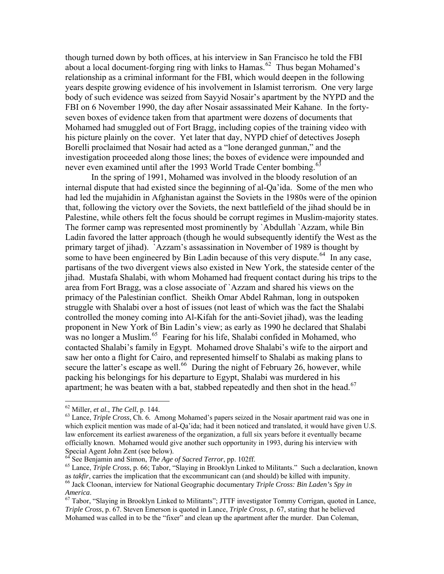though turned down by both offices, at his interview in San Francisco he told the FBI about a local document-forging ring with links to Hamas.  $62$  Thus began Mohamed's relation ship as a criminal informant for the FBI, which would deepen in the following years despite growing evidence of his involvement in Islamist terrorism. One very large body of such evidence was seized from Sayyid Nosair's apartment by the NYPD and the FBI on 6 November 1990, the day after Nosair assassinated Meir Kahane. In the fortyinvestigation proceeded along those lines; the boxes of evidence were impounded and seven boxes of evidence taken from that apartment were dozens of documents that Mohamed had smuggled out of Fort Bragg, including copies of the training video with his picture plainly on the cover. Yet later that day, NYPD chief of detectives Joseph Borelli proclaimed that Nosair had acted as a "lone deranged gunman," and the never even examined until after the 1993 World Trade Center bombing.<sup>[63](#page-8-0)</sup>

internal dispute that had existed since the beginning of al-Qa'ida. Some of the men who had led the mujahidin in Afghanistan against the Soviets in the 1980s were of the opinion that, following the victory over the Soviets, the next battlefield of the jihad should be in Palestine, while others felt the focus should be corrupt regimes in Muslim-majority states. partisans of the two divergent views also existed in New York, the stateside center of the proponent in New York of Bin Ladin's view; as early as 1990 he declared that Shalabi In the spring of 1991, Mohamed was involved in the bloody resolution of an The former camp was represented most prominently by `Abdullah `Azzam, while Bin Ladin favored the latter approach (though he would subsequently identify the West as the primary target of jihad). `Azzam's assassination in November of 1989 is thought by some to have been engineered by Bin Ladin because of this very dispute.<sup>[64](#page-8-1)</sup> In any case, jihad. Mustafa Shalabi, with whom Mohamed had frequent contact during his trips to the area from Fort Bragg, was a close associate of `Azzam and shared his views on the primacy of the Palestinian conflict. Sheikh Omar Abdel Rahman, long in outspoken struggle with Shalabi over a host of issues (not least of which was the fact the Shalabi controlled the money coming into Al-Kifah for the anti-Soviet jihad), was the leading was no longer a Muslim.<sup>[65](#page-8-2)</sup> Fearing for his life, Shalabi confided in Mohamed, who contacted Shalabi's family in Egypt. Mohamed drove Shalabi's wife to the airport and saw her onto a flight for Cairo, and represented himself to Shalabi as making plans to secure the latter's escape as well.<sup>[66](#page-8-3)</sup> During the night of February 26, however, while packing his belongings for his departure to Egypt, Shalabi was murdered in his apartment; he was beaten with a bat, stabbed repeatedly and then shot in the head.<sup>[67](#page-8-4)</sup>

1

<span id="page-8-0"></span><sup>&</sup>lt;sup>62</sup> Miller, *et al., The Cell, p.* 144.<br><sup>63</sup> Lance, *Triple Cross*, Ch. 6. Among Mohamed's papers seized in the Nosair apartment raid was one in which explicit mention was made of al-Qa'ida; had it been noticed and translated, it would have given U.S. law enforcement its earliest awareness of the organization, a full six years before it eventually became officially known. Mohamed would give another such opportunity in 1993, during his interview with Special Agent John Zent (see below).<br><sup>64</sup> See Benjamin and Simon, *The Age of Sacred Terror*, pp. 102ff.

<span id="page-8-1"></span>

<sup>&</sup>lt;sup>64</sup> See Benjamin and Simon, *The Age of Sacred Terror*, pp. 102ff.<br><sup>65</sup> Lance, *Triple Cross*, p. 66; Tabor, "Slaying in Brooklyn Linked to Militants." Such a declaration, known as *takfir*, carries the implication that the excommunicant can (and should) be killed with impunity.

<span id="page-8-3"></span><span id="page-8-2"></span>as *takfir*, carries the implication that the excommunicant can (and should) be killed with impunity.<br><sup>66</sup> Jack Cloonan, interview for National Geographic documentary *Triple Cross: Bin Laden's Spy in* America.<br><sup>67</sup> Tabor, "Slaying in Brooklyn Linked to Militants"; JTTF investigator Tommy Corrigan, quoted in Lance,

<span id="page-8-4"></span>Mohamed was called in to be the "fixer" and clean up the apartment after the murder. Dan Coleman, *Triple Cross*, p. 67. Steven Emerson is quoted in Lance, *Triple Cross*, p. 67, stating that he believed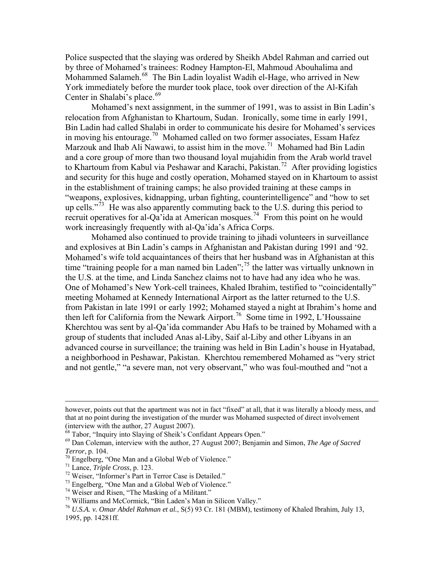Police suspected that the slaying was ordered by Sheikh Abdel Rahman and carr ied out by three of Mohamed's trainees: Rodney Hampton-El, Mahmoud Abouhalima and Mohammed Salameh.<sup>[68](#page-9-0)</sup> The Bin Ladin loyalist Wadih el-Hage, who arrived in New York immediately before the murder took place, took over direction of the Al-Kifah Center in Shalabi's place.<sup>[69](#page-9-1)</sup>

Mohamed's next assignment, in the summer of 1991, was to assist in Bin Ladin's [relocation from Afghanistan](#page-9-1) to Khartoum, Sudan. Ironically, some time in early 1991, and a core group of more than two thousand loyal mujahidin from the Arab world travel to Khartoum from Kabul via Peshawar and Karachi, Pakistan.<sup>[72](#page-9-4)</sup> After providing logistics and security for this huge and costly operation, Mohamed stayed on in Khartoum to assist up cells."<sup> $73$ </sup> He was also apparently commuting back to the U.S. during this period to Bin Ladin had called Shalabi in order to communicate his desire for Mohamed's services in moving his entourage.<sup>[70](#page-9-2)</sup> Mohamed called on two former associates, Essam Hafez Marzouk and Ihab Ali Nawawi, to assist him in the move.<sup>[71](#page-9-3)</sup> Mohamed had Bin Ladin in the establishment of training camps; he also provided training at these camps in "weapons, explosives, kidnapping, urban fighting, counterintelligence" and "how to set recruit operatives for al-Qa'ida at American mosques.<sup>[74](#page-9-6)</sup> From this point on he would work increasingly frequently with al-Qa'ida's Africa Corps.

and explosives at Bin Ladin's camps in Afghanistan and Pakistan during 1991 and '92. Moham ed's wife told acquaintances of theirs that her husband was in Afghanistan at this a neighborhood in Peshawar, Pakistan. Kherchtou remembered Mohamed as "very strict and not gentle," "a severe man, not very observant," who was foul-mouthed and "not a Mohamed also continued to provide training to jihadi volunteers in surveillance time "training people for a man named bin Laden";<sup>[75](#page-9-7)</sup> the latter was virtually unknown in the U.S. at the time, and Linda Sanchez claims not to have had any idea who he was. One of Mohamed's New York-cell trainees, Khaled Ibrahim, testified to "coincidentally" meeting Mohamed at Kennedy International Airport as the latter returned to the U.S. from Pakistan in late 1991 or early 1992; Mohamed stayed a night at Ibrahim's home and then left for California from the Newark Airport.<sup>[76](#page-9-8)</sup> Some time in 1992, L'Houssaine Kherchtou was sent by al-Qa'ida commander Abu Hafs to be trained by Mohamed with a group of students that included Anas al-Liby, Saif al-Liby and other Libyans in an advanced course in surveillance; the training was held in Bin Ladin's house in Hyatabad,

however, points out that the apartment was not in fact "fixed" at all, that it was literally a bloody mess, and that at no point during the investigation of the murder was Mohamed suspected of direct involvement (interview with the author, 27 August 2007).

<span id="page-9-0"></span><sup>&</sup>lt;sup>68</sup> Tabor, "Inquiry into Slaying of Sheik's Confidant Appears Open."

<span id="page-9-1"></span><sup>69</sup> Dan Coleman, interview with the author, 27 August 2007; Benjamin and Simon, *The Age of Sacred Terror*, p. 104.<br><sup>70</sup> Engelberg, "One Man and a Global Web of Violence."<br><sup>71</sup> Lance, *Triple Cross*, p. 123.

<span id="page-9-2"></span>

<span id="page-9-4"></span><span id="page-9-3"></span><sup>&</sup>lt;sup>72</sup> Weiser, "Informer's Part in Terror Case is Detailed."

<span id="page-9-5"></span><sup>73</sup> Engelberg, "One Man and a Global Web of Violence."

<span id="page-9-6"></span><sup>74</sup> Weiser and Risen, "The Masking of a Militant."

<span id="page-9-7"></span><sup>75</sup> Williams and McCormick, "Bin Laden's Man in Silicon Valley."

<span id="page-9-8"></span><sup>76</sup> *U.S.A. v. Omar Abdel Rahman et al.*, S(5) 93 Cr. 181 (MBM), testimony of Khaled Ibrahim, July 13, 1995, pp. 14281ff.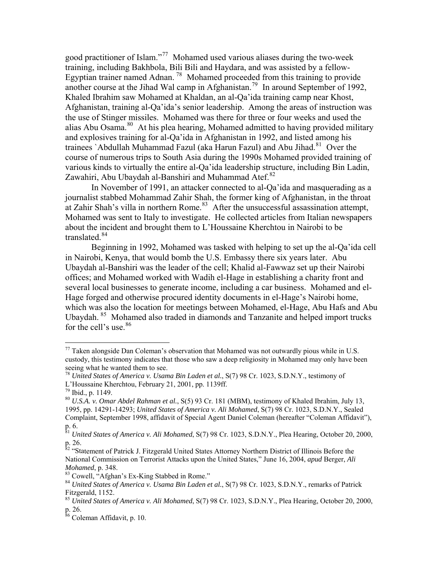good practitioner of Islam."[77](#page-10-0) Mohamed used various aliases during the two-week training, including Bakhbola, Bili Bili and Haydara, and was assisted by a fellow-Egyptian trainer named Adnan.<sup>[78](#page-10-1)</sup> Mohamed proceeded from this training to provide another course at the Jihad Wal camp in Afghanistan.<sup>[79](#page-10-2)</sup> In around September of 1992, Khaled Ibrahim saw Mohamed at Khaldan, an al-Qa'ida training camp near Khost , Afghanistan, training al-Qa'ida's senior leadership. Among the areas of instruction w as the use of Stinger missiles. Mohamed was there for three or four weeks and used the alias Abu Osama.<sup>[80](#page-10-3)</sup> At his plea hearing, Mohamed admitted to having provided military various kinds to virtually the entire al-Qa'ida leadership structure, including Bin Ladin, and explosives training for al-Qa'ida in Afghanistan in 1992, and listed among his trainees `Abdullah Muhammad Fazul (aka Harun Fazul) and Abu Jihad.<sup>[81](#page-10-4)</sup> Over the course of numerous trips to South Asia during the 1990s Mohamed provided training of Zawahiri, Abu Ubaydah al-Banshiri and Muhammad Atef. $82$ 

[at Zahir Shah's villa in northern Rome.](#page-10-5)<sup>83</sup> After the unsuccessful assassination attempt, Moham ed was sent to Italy to investigate. He collected articles from Italian newspapers [In November of 1991, an attacker connected to al-Qa'ida and masquerading as a](#page-10-5)  [journalist stabbed Mohammad Zahir Shah, the former king of Afghanistan, in the throat](#page-10-5)  about the incident and brought them to L'Houssaine Kherchtou in Nairobi to be translated.<sup>[84](#page-10-6)</sup>

[Ubaydah al-B](#page-10-6)anshiri was the leader of the cell; Khalid al-Fawwaz set up their Nairobi offices; and Mohamed worked with Wadih el-Hage in establishing a charity front and several local businesses to generate income, including a car business. Mohamed and elwhich was also the location for meetings between Mohamed, el-Hage, Abu Hafs and Abu [Beginning in 1992, Mohamed was tasked with helping to set up the al-Qa'ida cell](#page-10-6) [in Nairobi, Kenya, that would bomb the U.S. Embassy there six years later. Abu](#page-10-6) Hage forged and otherwise procured identity documents in el-Hage's Nairobi home, Ubaydah.<sup>[85](#page-10-7)</sup> Mohamed also traded in diamonds and Tanzanite and helped import trucks for the cell's use.<sup>[86](#page-10-8)</sup>

<span id="page-10-0"></span> $77$  Taken alongside Dan Coleman's observation that Mohamed was not outwardly pious while in U.S. custody, this testimony indicates that those who saw a deep religiosity in Mohamed may only have been seeing what he wanted them to see.

<span id="page-10-1"></span><sup>78</sup> *United States of America v. Usama Bin Laden et al.*, S(7) 98 Cr. 1023, S.D.N.Y., testimony of L'Houssaine Kherchtou, February 21, 2001, pp. 1139ff.

<span id="page-10-3"></span><span id="page-10-2"></span> $79$  Ibid., p. 1149.

<sup>&</sup>lt;sup>80</sup> U.S.A. v. Omar Abdel Rahman et al., S(5) 93 Cr. 181 (MBM), testimony of Khaled Ibrahim, July 13, 1995, pp. 14291-14293; *United States of America v. Ali Mohamed*, S(7) 98 Cr. 1023, S.D.N.Y., Sealed Complaint, September 1998, affidavit of Special Agent Daniel Coleman (hereafter "Coleman Affidavit"), p. 6.

<span id="page-10-4"></span><sup>0,</sup>  <sup>81</sup> *United States of America v. Ali Mohamed*, S(7) 98 Cr. 1023, S.D.N.Y., Plea Hearing, October 20, 200 p. 26.

<span id="page-10-5"></span>tement of Patrick J. Fitzgerald United States Attorney Northern District of Illinois Before the *Mohamed*, p. 348. <sup>82</sup> ''Sta National Commission on Terrorist Attacks upon the United States," June 16, 2004, *apud* Berger, *Ali* 

<span id="page-10-6"></span><sup>83</sup> Cowell, "Afghan's Ex-King Stabbed in Rome."

<sup>84</sup> *United States of America v. Usama Bin Laden et al.*, S(7) 98 Cr. 1023, S.D.N.Y., remarks of Patrick Fitzgerald, 1152.

<span id="page-10-7"></span><sup>&</sup>lt;sup>85</sup> United States of America v. Ali Mohamed, S(7) 98 Cr. 1023, S.D.N.Y., Plea Hearing, October 20, 2000, p. 26.

<span id="page-10-8"></span>vit, p. 10. <sup>86</sup> Coleman Affida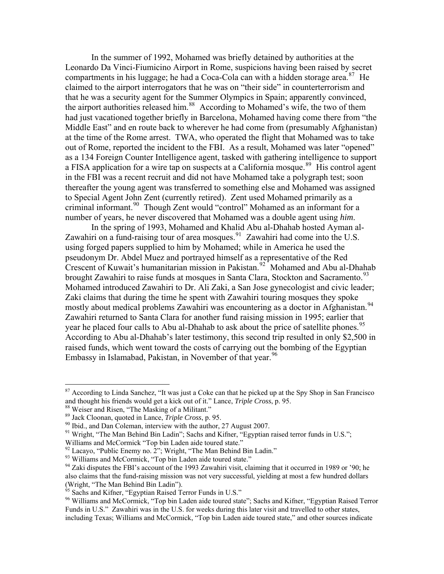[In the summer of 1992, Mohamed was briefly detained by authorities at the](#page-10-8)  [Leonardo Da Vinci-F](#page-10-8)iumicino Airport in Rome, suspicions having been raised by secret compartments in his luggage; he had a Coca-Cola can with a hidden storage area. $87$  He had just vacationed together briefly in Barcelona, Mohamed having come there from "the Middle East" and en route back to wherever he had come from (presumably Afghanistan) claimed to the airport interrogators that he was on "their side" in counterterrorism and that he was a security agent for the Summer Olympics in Spain; apparently convinced, the airport authorities released him.<sup>[88](#page-11-1)</sup> According to Mohamed's wife, the two of them at the time of the Rome arrest. TWA, who operated the flight that Mohamed was to take out of Rome, reported the incident to the FBI. As a result, Mohamed was later "opened" as a 134 Foreign Counter Intelligence agent, tasked with gathering intelligence to support a FISA application for a wire tap on suspects at a California mosque.<sup>[89](#page-11-2)</sup> His control agent in the FBI was a recent recruit and did not have Mohamed take a polygraph test; soon thereafter the young agent was transferred to something else and Mohamed was assigned to Special Agent John Zent (currently retired). Zent used Mohamed primarily as a criminal informant.[90](#page-11-3) Though Zent would "control" Mohamed as an informant for a number of years, he never discovered that Mohamed was a double agent using *him*.

Crescent of Kuwait's humanitarian mission in Pakistan.<sup>[92](#page-11-4)</sup> Mohamed and Abu al-Dhahab brought Zawahiri to raise funds at mosques in Santa Clara, Stockton and Sacramento.<sup>93</sup> According to Abu al-Dhahab's later testimony, this second trip resulted in only \$2,500 in In the spring of 1993, Mohamed and Khalid Abu al-Dhahab hosted Ayman al-Zawahiri on a fund-raising tour of area mosques. $91$  Zawahiri had come into the U.S. using forged papers supplied to him by Mohamed; while in America he used the pseudonym Dr. Abdel Muez and portrayed himself as a representative of the Red Mohamed introduced Zawahiri to Dr. Ali Zaki, a San Jose gynecologist and civic leader; Zaki claims that during the time he spent with Zawahiri touring mosques they spoke mostly about medical problems Zawahiri was encountering as a doctor in Afghanistan.<sup>[94](#page-11-5)</sup> Zawahiri returned to Santa Clara for another fund raising mission in 1995; earlier that year he placed four calls to Abu al-Dhahab to ask about the price of satellite phones.<sup>[95](#page-11-6)</sup> raised funds, which went toward the costs of carrying out the bombing of the Egyptian Embassy in Islamabad, Pakistan, in November of that year.<sup>[96](#page-11-7)</sup>

<span id="page-11-0"></span>and thought his friends would get a kick out of it." Lance, *Triple Cross*, p. 95.  $87$  According to Linda Sanchez, "It was just a Coke can that he picked up at the Spy Shop in San Francisco

<sup>&</sup>lt;sup>88</sup> Weiser and Risen, "The Masking of a Militant."

<span id="page-11-3"></span><span id="page-11-2"></span><span id="page-11-1"></span><sup>&</sup>lt;sup>89</sup> Jack Cloonan, quoted in Lance, *Triple Cross*, p. 95.<br><sup>90</sup> Ibid., and Dan Coleman, interview with the author, 27 August 2007.

<span id="page-11-4"></span><sup>&</sup>lt;sup>91</sup> Wright, "The Man Behind Bin Ladin"; Sachs and Kifner, "Egyptian raised terror funds in U.S.";

Williams and McCormick "Top bin Laden aide toured state."

 $92$  Lacayo, "Public Enemy no. 2"; Wright, "The Man Behind Bin Ladin."

<span id="page-11-6"></span><span id="page-11-5"></span><sup>&</sup>lt;sup>93</sup> Williams and McCormick, "Top bin Laden aide toured state."

<span id="page-11-7"></span><sup>&</sup>lt;sup>94</sup> Zaki disputes the FBI's account of the 1993 Zawahiri visit, claiming that it occurred in 1989 or '90; he also claims that the fund-raising mission was not very successful, yielding at most a few hundred dollars (Wright, "The Man Behind Bin Ladin").<br><sup>95</sup> Sachs and Kifner, "Egyptian Raised Terror Funds in U.S."

<sup>&</sup>lt;sup>95</sup> Sachs and Kifner, "Egyptian Raised Terror Funds in U.S."<br><sup>96</sup> Williams and McCormick, "Top bin Laden aide toured state"; Sachs and Kifner, "Egyptian Raised Terror Funds in U.S." Zawahiri was in the U.S. for weeks during this later visit and travelled to other states, including Texas; Williams and McCormick, "Top bin Laden aide toured state," and other sources indicate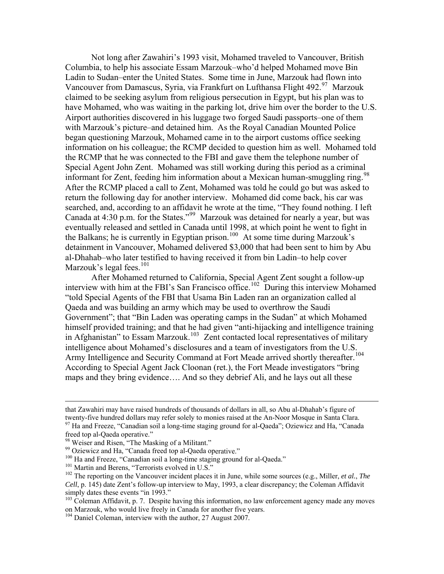[Not long after Zawahiri's 1993 visit, Mohamed traveled to Vancouver, British](#page-11-7)  [Columbia, to help his associate Essam Marzouk–who'd helped](#page-11-7) Mohamed move Bin have Mohamed, who was waiting in the parking lot, drive him over the border to the U.S. information on his colleague; the RCMP decided to question him as well. Mohamed told informant for Zent, feeding him information about a Mexican human-smuggling ring.<sup>98</sup> Ladin to Sudan–enter the United States. Some time in June, Marzouk had flown into Vancouver from Damascus, Syria, via Frankfurt on Lufthansa Flight 492.<sup>[97](#page-12-0)</sup> Marzouk claimed to be seeking asylum from religious persecution in Egypt, but his plan was to Airport authorities discovered in his luggage two forged Saudi passports–one of them with Marzouk's picture–and detained him. As the Royal Canadian Mounted Police began questioning Marzouk, Mohamed came in to the airport customs office seeking the RCMP that he was connected to the FBI and gave them the telephone number of Special Agent John Zent. Mohamed was still working during this period as a criminal After the RCMP placed a call to Zent, Mohamed was told he could go but was asked to return the following day for another interview. Mohamed did come back, his car was searched, and, according to an affidavit he wrote at the time, "They found nothing. I left Canada at 4:30 p.m. for the States."[99](#page-12-1) Marzouk was detained for nearly a year, but was eventually released and settled in Canada until 1998, at which point he went to fight in the Balkans; he is currently in Egyptian prison.<sup>[100](#page-12-2)</sup> At some time during Marzouk's detainment in Vancouver, Mohamed delivered \$3,000 that had been sent to him by Abu al-Dhahab–who later testified to having received it from bin Ladin–to help cover Marzouk's legal fees. $101$ 

After Mohamed returned to California, Special Agent Zent sought a follow-up interview with him at the [FBI's San Francisco office.](#page-12-3)<sup>102</sup> During this interview Mohamed Government"; that "Bin Laden was operating camps in the Sudan" at which Mohamed himself provided training; and that he had given "anti-hijacking and intelligence training maps and they bring evidence…. And so they debrief Ali, and he lays out all these "told Special Agents of the FBI that Usama Bin Laden ran an organization called al Qaeda and was building an army which may be used to overthrow the Saudi in Afghanistan" to Essam Marzouk.<sup>[103](#page-12-4)</sup> Zent contacted local representatives of military intelligence about Mohamed's disclosures and a team of investigators from the U.S. Army Intelligence and Security Command at Fort Meade arrived shortly thereafter.<sup>[104](#page-12-5)</sup> According to Special Agent Jack Cloonan (ret.), the Fort Meade investigators "bring

 $\overline{a}$ 

1

<span id="page-12-3"></span><span id="page-12-2"></span><sup>100</sup> Ha and Freeze, "Canadian soil a long-time staging ground for al-Qaeda."

twenty-five hundred dollars may refer solely to monies raised at the An-Noor Mosque in Santa Clara. that Zawahiri may have raised hundreds of thousands of dollars in all, so Abu al-Dhahab's figure of <sup>97</sup> Ha and Freeze, "Canadian soil a long-time staging ground for al-Qaeda"; Oziewicz and Ha, "Canada

<span id="page-12-0"></span>freed top al-Qaeda operative."

<span id="page-12-1"></span>ing of a Militant." <sup>98</sup> Weiser and Risen, "The Mask

erative." <sup>99</sup> Oziewicz and Ha, "Canada freed top al-Qaeda op

<sup>&</sup>lt;sup>101</sup> Martin and Berens, "Terrorists evolved in U.S."

<span id="page-12-4"></span> $t^{102}$  The reporting on the Vancouver incident places it in June, while some sources (e.g., Miller, *et al., The Cell*, p. 145) date Zent's follow-up interview to May, 1993, a clear discrepancy; the Coleman Affidavit simply dates these events "in 1993."

<span id="page-12-5"></span> $103$  Coleman Affidavit, p. 7. Despite having this information, no law enforcement agency made any moves on Marzouk, who would live freely in Canada for another five years.

<span id="page-12-6"></span><sup>&</sup>lt;sup>104</sup> Daniel Coleman, interview with the author, 27 August 2007.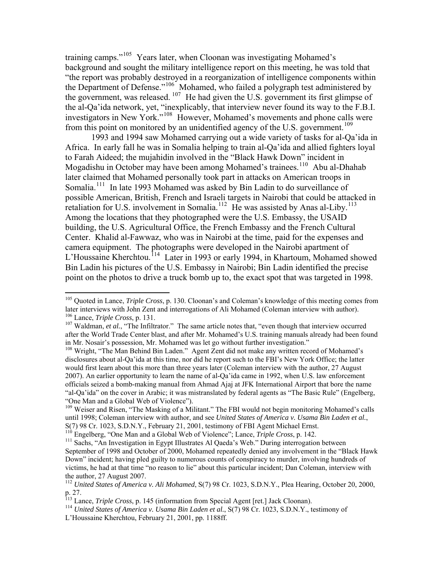training camps."[105](#page-12-6) Years later, when Cloonan was investigating Mohamed's background and sought the military intelligence report on this meeting, he was told th at "the report was probably destroyed in a reorganization of intelligence components w ithin the Department of Defense."<sup>[106](#page-13-0)</sup> Mohamed, who failed a polygraph test administered by the al-Qa'ida network, yet, "inexplicably, that interview never found its way to the F.B.I. the government, was released.  $107$  He had given the U.S. government its first glimpse of investigators in New York."<sup>[108](#page-13-2)</sup> However, Mohamed's movements and phone calls were from this point on monitored by an unidentified agency of the U.S. government.<sup>[109](#page-13-3)</sup>

1993 and 1994 saw Mohamed carrying out a wide variety of tasks for al-Qa'ida in possible American, British, French and Israeli targets in Nairobi that could be attacked in retaliation for U.S. involvement in Somalia.<sup>[112](#page-13-6)</sup> He was assisted by Anas al-Liby.<sup>[113](#page-13-7)</sup> [building, the U.S. Agricultural Office, the French Embassy and the French Cultur](#page-13-7)al [L'Houssaine Kherchtou.](#page-13-7)<sup>114</sup> [Later in 1993 or early 1994, in Khartoum, Mohamed sho](#page-13-8)wed [point on the photos to drive a truck bomb up to, the exact spot that was targeted in](#page-13-8) 1998. [Africa. In early fall he was in Somalia helping to train al-Qa'ida and allied fighters loyal](#page-13-3)  [to Farah Aideed; the mujahidin involved in the "Black Hawk Down" incident in](#page-13-3)  Mogadishu in October may have been among Mohamed's trainees.<sup>[110](#page-13-4)</sup> Abu al-Dhahab later claimed that Mohamed personally took part in attacks on American troops in Somalia.<sup>[111](#page-13-5)</sup> In late 1993 Mohamed was asked by Bin Ladin to do surveillance of [Among the locations that they photographed were the U.S. Embassy, the USAID](#page-13-7)  [Center. Khalid al-Fawwaz, who was in Nairobi at the time, paid for the expenses and](#page-13-7) [camera equipment. The photographs were developed in the Nairobi apartment of](#page-13-7)  [Bin Ladin his pictures of the U.S. Embassy in Nairobi; Bin Ladin identified the precise](#page-13-8)

<span id="page-13-0"></span><sup>105</sup> Quoted in Lance, *Triple Cross*, p. 130. Cloonan's and Coleman's knowledge of this meeting comes from later interviews with John Zent and interrogations of Ali Mohamed (Coleman interview with author). later interviews with John Zent and interrogations of Ali Mohamed (Coleman interview with author).<br><sup>106</sup> Lance, *Triple Cross*, p. 131.<br><sup>107</sup> Waldman, *et al.*, "The Infiltrator." The same article notes that, "even though

<span id="page-13-2"></span><span id="page-13-1"></span>after the World Trade Center blast, and after Mr. Mohamed's U.S. training manuals already had been found in Mr. Nosair's possession, Mr. Mohamed was let go without further investigation."

<span id="page-13-3"></span>disclosures about al-Qa'ida at this time, nor did he report such to the FBI's New York Office; the latter e officials seized a bomb-making manual from Ahmad Ajaj at JFK International Airport that bore the nam "al-Qa'ida" on the cover in Arabic; it was mistranslated by federal agents as "The Basic Rule" (Engelberg, <sup>108</sup> Wright, "The Man Behind Bin Laden." Agent Zent did not make any written record of Mohamed's would first learn about this more than three years later (Coleman interview with the author, 27 August 2007). An earlier opportunity to learn the name of al-Qa'ida came in 1992, when U.S. law enforcement "One Man and a Global Web of Violence").

until 1998; Coleman interview with author, and see *United States of America v. Usama Bin Laden et al.*, <sup>109</sup> Weiser and Risen, "The Masking of a Militant." The FBI would not begin monitoring Mohamed's calls S(7) 98 Cr. 1023, S.D.N.Y., February 21, 2001, testimony of FBI Agent Michael Ernst.<br><sup>110</sup> Engelberg, "One Man and a Global Web of Violence"; Lance, *Triple Cross*, p. 142.

<span id="page-13-5"></span><span id="page-13-4"></span>September of 1998 and October of 2000, Mohamed repeatedly denied any involvement in the "Black Hawk Down" incident; having pled guilty to numerous counts of conspiracy to murder, involving hundreds of <sup>111</sup> Sachs. "An Investigation in Egypt Illustrates Al Qaeda's Web." During interrogation between victims, he had at that time "no reason to lie" about this particular incident; Dan Coleman, interview with the author, 27 August 2007.

<span id="page-13-6"></span><sup>112</sup> *United States of America v. Ali Mohamed*, S(7) 98 Cr. 1023, S.D.N.Y., Plea Hearing, October 20, 2000, p. 27.

<span id="page-13-7"></span><sup>&</sup>lt;sup>113</sup> Lance, *Triple Cross*, p. 145 (information from Special Agent [ret.] Jack Cloonan).<br><sup>114</sup> United States of America v. Usama Bin Laden et al., S(7) 98 Cr. 1023, S.D.N.Y., to

<span id="page-13-8"></span>*ted States of America v. Usama Bin Laden et al.*, S(7) 98 Cr. 1023, S.D.N.Y., testimony of L'Houssaine Kherchtou, February 21, 2001, pp. 1188ff.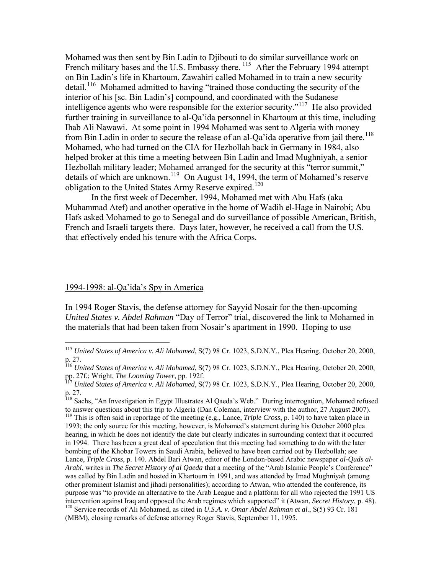[Mohamed was then sent by Bin Ladin to Djibouti to do similar surveillance work on](#page-13-8)  [French military bases and the U.S. Embassy there.](#page-13-8) <sup>115</sup> After the February 1994 attempt [on Bin Ladin's life in Khartoum, Zawahiri called Mohamed in to train a new security](#page-14-0)  [detail.](#page-14-0)<sup>116</sup> Mohamed admitted to having "trained those conducting the security of the [interior of his \[sc. Bin Ladin's\] compound, and coordinated with the Sudanese](#page-14-1)  [intelligence agents who were responsible for the exterior security."](#page-14-1)<sup>117</sup> [He also provide](#page-14-2)d [further training in surveillance to al-Qa'ida personnel in Khartoum at this time, includ](#page-14-2)ing [Ihab Ali Nawawi. At some point in 1994 Mohamed was sent to Algeria with m](#page-14-2) oney [from Bin Ladin in order to secure the release of an al-Qa'ida operative from jail there.](#page-14-2)<sup>118</sup> [helped broker at this time a meeting between Bin Ladin and Imad Mughniyah, a senio](#page-14-3)r [details of which are unknown.](#page-14-3)<sup>119</sup> [On August 14, 1994, the term of Mohamed's reserv](#page-14-4)e [Mohamed, who had turned on the CIA for Hezbollah back in Germany in 1984, also](#page-14-3)  [Hezbollah military leader; Mohamed arranged for the security at this "terror summit,"](#page-14-3)  [obligation to the United States Army Reserve expired.](#page-14-4)<sup>120</sup>

Hafs asked Mohamed to go to Senegal and do surveillance of possible American, British, French and Israeli targets there. Days later, however, he received a call from the U.S. In the first week of December, 1994, Mohamed met with Abu Hafs (aka Muhammad Atef) and another operative in the home of Wadih el-Hage in Nairobi; Abu that effectively ended his tenure with the Africa Corps.

### 1994-1998: al-Qa'ida's Spy in America

 $\overline{a}$ 

In 1994 Roger Stavis, the defense attorney for Sayyid Nosair for the then-upcoming *United States v. Abdel Rahman* "Day of Terror" trial, discovered the link to Mohamed in the materials that had been taken from Nosair's apartment in 1990. Hoping to use

<span id="page-14-0"></span><sup>115</sup> *United States of America v. Ali Mohamed*, S(7) 98 Cr. 1023, S.D.N.Y., Plea Hearing, October 20, 2000, p. 27.

<span id="page-14-1"></span><sup>116</sup> *United States of America v. Ali Mohamed*, S(7) 98 Cr. 1023, S.D.N.Y., Plea Hearing, October 20, 2000, pp. 27f.; Wright, *The Looming Tower*, pp. 192f.<br><sup>117</sup> *United States of America v. Ali Mohamed*, S(7) 98 Cr. 1023, S.D.N.Y., Plea Hearing, October 20, 2000,

<span id="page-14-2"></span>p. 27.

<span id="page-14-4"></span><span id="page-14-3"></span><sup>&</sup>lt;sup>118</sup> Sachs, "An Investigation in Egypt Illustrates Al Qaeda's Web." During interrogation, Mohamed refused to answer questions about this trip to Algeria (Dan Coleman, interview with the author, 27 August 2007). <sup>119</sup> This is often said in reportage of the meeting (e.g., Lance, *Triple Cross*, p. 140) to have taken place in 1993; the only source for this meeting, however, is Mohamed's statement during his October 2000 plea hearing, in which he does not identify the date but clearly indicates in surrounding context that it occurred in 1994. There has been a great deal of speculation that this meeting had something to do with the later bombing of the Khobar Towers in Saudi Arabia, believed to have been carried out by Hezbollah; see Lance, *Triple Cross*, p. 140. Abdel Bari Atwan, editor of the London-based Arabic newspaper *al-Quds al-Arabi*, writes in *The Secret History of al Qaeda* that a meeting of the "Arab Islamic People's Conference" was called by Bin Ladin and hosted in Khartoum in 1991, and was attended by Imad Mughniyah (among other prominent Islamist and jihadi personalities); according to Atwan, who attended the conference, its purpose was "to provide an alternative to the Arab League and a platform for all who rejected the 1991 US intervention against Iraq and opposed the Arab regimes which supported" it (Atwan, *Secret History*, p. 48). <sup>120</sup> Service records of Ali Mohamed, as cited in *U.S.A. v. Omar Abdel Rahman et al.*, S(5) 93 Cr. 181 (MBM), closing remarks of defense attorney Roger Stavis, September 11, 1995.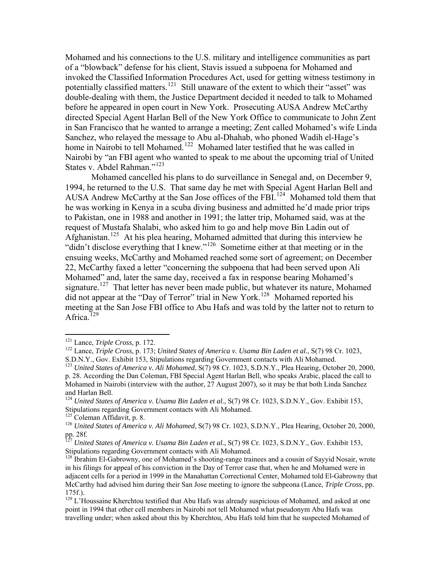Mohamed and his connections to the U.S. military and intelligence communities as part of a "blowback" defense for his client, Stavis issued a subpoena for Mohamed and invoked the Classified Information Procedures Act, used for getting witness testimony in double-dealing with them, the Justice Department decided it needed to talk to Mohamed directed Special Agent Harlan Bell of the New York Office to communicate to John Zent potentially classified matters.<sup>[121](#page-15-0)</sup> Still unaware of the extent to which their "asset" was before he appeared in open court in New York. Prosecuting AUSA Andrew McCarthy in San Francisco that he wanted to arrange a meeting; Zent called Mohamed's wife Linda Sanchez, who relayed the message to Abu al-Dhahab, who phoned Wadih el-Hage's home in Nairobi to tell Mohamed.<sup>[122](#page-15-1)</sup> Mohamed later testified that he was called in Nairobi by "an FBI agent who wanted to speak to me about the upcoming trial of United States v. Abdel Rahman."<sup>[123](#page-15-2)</sup>

[1994, he returned to the U.S. That same day he met with Special Agent Harlan Bell a](#page-15-2)nd [AUSA Andrew McCarthy at the San Jose offices of the FBI.](#page-15-2)<sup>124</sup> Mohamed told them that [to Pakistan, one in 1988 and a](#page-15-2)nother in 1991; the latter trip, Mohamed said, was at the signature.<sup>[127](#page-15-5)</sup> That letter has never been made public, but whatever its nature, Mohamed  [Mohamed cancelled his plans to do surveillance in Senegal and, on December 9,](#page-15-2)  [he was working in Kenya in a scuba diving business and admitted he'd made prior trips](#page-15-2)  request of Mustafa Shalabi, who asked him to go and help move Bin Ladin out of Afghanistan.[125](#page-15-3) At his plea hearing, Mohamed admitted that during this interview he "didn't disclose everything that I knew."<sup>[126](#page-15-4)</sup> Sometime either at that meeting or in the ensuing weeks, McCarthy and Mohamed reached some sort of agreement; on December 22, McCarthy faxed a letter "concerning the subpoena that had been served upon Ali Mohamed" and, later the same day, received a fax in response bearing Mohamed's did not appear at the "Day of Terror" trial in New York.<sup>[128](#page-15-6)</sup> Mohamed reported his meeting at the San Jose FBI office to Abu Hafs and was told by the latter not to return to Africa. $129$ 

<span id="page-15-1"></span><span id="page-15-0"></span><sup>&</sup>lt;sup>[121](#page-15-7)</sup> Lance, *Triple Cross*, p. 172.<br><sup>122</sup> Lance, *Triple Cross*, p. 173; *[United States of America v. Usama B](#page-15-7)i[n Laden et al.](#page-15-7)*, S(7) 98 Cr. 1023, S.D.N.Y., Gov. Exhibit 153, Stipulations regarding Government contacts with Ali Mohamed.

<span id="page-15-2"></span><sup>&</sup>lt;sup>123</sup> United States of America v. Ali Mohamed, S(7) 98 Cr. 1023, S.D.N.Y., Plea Hearing, October 20, 2000, p. 28. According the Dan Coleman, FBI Special Agent Harlan Bell, who speaks Arabic, placed the call to Mohamed in Nairobi (interview with the author, 27 August 2007), so it may be that both Linda Sanchez and Harlan Bell.

<span id="page-15-3"></span><sup>&</sup>lt;sup>124</sup> *United States of America v. Usama Bin Laden et al.*, S(7) 98 Cr. 1023, S.D.N.Y., Gov. Exhibit 153, Stipulations regarding Government contacts with Ali Mohamed.

<span id="page-15-5"></span><span id="page-15-4"></span>t, p. 8.

<sup>&</sup>lt;sup>125</sup> Coleman Affidavit, p. 8.<br><sup>126</sup> United States of America v. Ali Mohamed, S(7) 98 Cr. 1023, S.D.N.Y., Plea Hearing, October 20, 2000, pp. 28f.

<span id="page-15-6"></span>*v. Usama Bin Laden et al.*, S(7) 98 Cr. 1023, S.D.N.Y., Gov. Exhibit 153, <sup>127</sup> *United States of America*  Stipulations regarding Government contacts with Ali Mohamed.

<span id="page-15-7"></span><sup>&</sup>lt;sup>128</sup> Ibrahim El-Gabrowny, one of Mohamed's shooting-range trainees and a cousin of Sayyid Nosair, wrote adjacent cells for a period in 1999 in the Manahattan Correctional Center, Mohamed told El-Gabrowny that in his filings for appeal of his conviction in the Day of Terror case that, when he and Mohamed were in McCarthy had advised him during their San Jose meeting to ignore the subpeona (Lance, *Triple Cross*, pp. 175f.).

travelling under; when asked about this by Kherchtou, Abu Hafs told him that he suspected Mohamed of <sup>129</sup> L'Houssaine Kherchtou testified that Abu Hafs was already suspicious of Mohamed, and asked at one point in 1994 that other cell members in Nairobi not tell Mohamed what pseudonym Abu Hafs was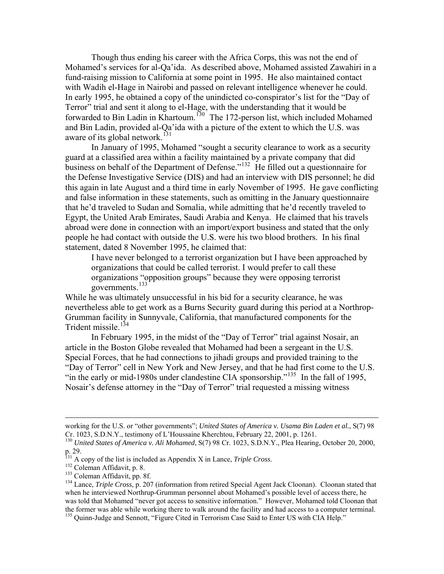[Though thus ending his career with the Africa Corps, this was not the end of](#page-15-7)  [Mohamed's](#page-15-7) services for al-Qa'ida. As described above, Mohamed assisted Zawahiri in a In early 1995, he obtained a copy of the unindicted co-conspirator's list for the "Day of and Bin Ladin, provided al-Qa'ida with a picture of the extent to which the U.S. was fund-raising mission to California at some point in 1995. He also maintained contact with Wadih el-Hage in Nairobi and passed on relevant intelligence whenever he could. Terror" trial and sent it along to el-Hage, with the understanding that it would be forwarded to Bin Ladin in Khartoum.<sup>[130](#page-16-0)</sup> The 172-person list, which included Mohamed aware of its global network.<sup>[131](#page-16-1)</sup>

In January of 1995, Mohamed "sought a security clearance to work as a security guard at a classified area within a facility maintained by a private company that did business on behalf of the Department of Defense."<sup>[132](#page-16-2)</sup> He filled out a questionnaire for the Defense Investigative Service (DIS) and had an interview with DIS personnel; he did this again in late August and a third time in early November of 1995. He gave conflicting and false information in these statements, such as omitting in the January questionnaire that he'd traveled to Sudan and Somalia, while admitting that he'd recently traveled to Egypt, the United Arab Emirates, Saudi Arabia and Kenya. He claimed that his travels abroad were done in connection with an import/export business and stated that the only people he had contact with outside the U.S. were his two blood brothers. In his final statement, dated 8 November 1995, he claimed that:

organizations that could be called terrorist. I would prefer to call these I have never belonged to a terrorist organization but I have been approached by organizations "opposition groups" because they were opposing terrorist governments.<sup>[133](#page-16-3)</sup>

While h [e was ultimately unsuccessful in his bid for a security clearance, he was](#page-16-3)  neverth[eless able to get w](#page-16-3)ork as a Burns Security guard during this period at a Northrop-Grumman facility in Sunnyvale, California, that manufactured components for the Trident missile.<sup>[134](#page-16-4)</sup>

[article in the Boston](#page-16-4) Globe revealed that Mohamed had been a sergeant in the U.S. Special Forces, that he had connections to jihadi groups and provided training to the "Day of Terror" cell in New York and New Jersey, and that he had first come to the U.S. "in the early or mid-1980s under clandestine CIA sponsorship."<sup>[135](#page-16-5)</sup> In the fall of 1995, [In February 1995, in the midst of the "Day of Terror" trial against Nosair, an](#page-16-4) Nosair's defense attorney in the "Day of Terror" trial requested a missing witness

 $\overline{a}$ 

working for the U.S. or "other governments"; *United States of America v. Usama Bin Laden et al.*, S(7) 98 Cr. 1023, S.D.N.Y., testimony of L'Houssaine Kherchtou, February 22, 2001, p. 1261.

<span id="page-16-0"></span>October 20, 2000, <sup>130</sup> *United States of America v. Ali Mohamed*, S(7) 98 Cr. 1023, S.D.N.Y., Plea Hearing, p. 29.

py of the list is included as Appendix X in Lance, *Triple Cross*.

<span id="page-16-2"></span><span id="page-16-1"></span><sup>&</sup>lt;sup>132</sup> Coleman Affidavit, p. 8.

<span id="page-16-3"></span><sup>&</sup>lt;sup>133</sup> Coleman Affidavit, pp. 8f.

<span id="page-16-5"></span><span id="page-16-4"></span><sup>&</sup>lt;sup>134</sup> Lance, *Triple Cross*, p. 207 (information from retired Special Agent Jack Cloonan). Cloonan stated that was told that Mohamed "never got access to sensitive information." However, Mohamed told Cloonan that when he interviewed Northrup-Grumman personnel about Mohamed's possible level of access there, he the former was able while working there to walk around the facility and had access to a computer terminal. 135 Quinn-Judge and Sennott, "Figure Cited in Terrorism Case Said to Enter US with CIA Help."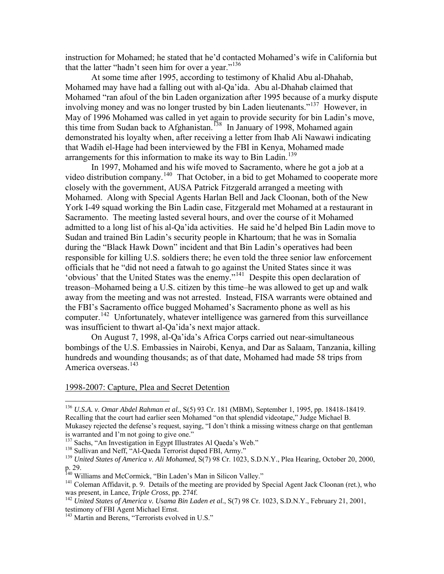instruction for Mohamed; he stated that he'd contacted Mohamed's wife in California b ut that the latter "hadn't seen him for over a year."<sup>[136](#page-17-0)</sup>

[Mohamed may have had a falling out with al-Qa'id](#page-17-0)a. Abu al-Dhahab claimed that Mohamed "ran afoul of the bin Laden organization after 1995 because of a murky dispute involving money and was no longer trusted by bin Laden lieutenants."<sup>[137](#page-17-1)</sup> However, in [At some time after 1995, according to testimony of Khalid Abu al-Dhahab,](#page-17-0)  May of 1996 Mohamed was called in yet again to provide security for bin Ladin's move, this time from Sudan back to Afghanistan.<sup>[138](#page-17-2)</sup> In January of 1998, Mohamed again demonstrated his loyalty when, after receiving a letter from Ihab Ali Nawawi indicating that Wadih el-Hage had been interviewed by the FBI in Kenya, Mohamed made arrangements for this information to make its way to Bin Ladin.<sup>[139](#page-17-3)</sup>

[In 1997, Mohamed and his wife moved to Sacramento, where he got a job](#page-17-3) at a video distribution company.<sup>140</sup> That October, in a bid to get Mohamed to cooperate more closely with the government, AUSA Patrick Fitzgerald arranged a meeting with York I-49 squad working the Bin Ladin case, Fitzgerald met Mohamed at a restaurant in responsible for killing U.S. soldiers there; he even told the three senior law enforcement treason–Mohamed being a U.S. citizen by this time–he was allowed to get up and walk away from the meeting and was not arrested. Instead, FISA warrants were obtained and Mohamed. Along with Special Agents Harlan Bell and Jack Cloonan, both of the New Sacramento. The meeting lasted several hours, and over the course of it Mohamed admitted to a long list of his al-Qa'ida activities. He said he'd helped Bin Ladin move to Sudan and trained Bin Ladin's security people in Khartoum; that he was in Somalia during the "Black Hawk Down" incident and that Bin Ladin's operatives had been officials that he "did not need a fatwah to go against the United States since it was 'obvious' that the United States was the enemy."[141](#page-17-4) Despite this open declaration of the FBI's Sacramento office bugged Mohamed's Sacramento phone as well as his computer.<sup>[142](#page-17-5)</sup> Unfortunately, whatever intelligence was garnered from this surveillance was insufficient to thwart al-Qa'ida's next major attack.

bombings of the U.S. Embassies in Nairobi, Kenya, and Dar as Salaam, Tanzania, killing hundre ds and wounding thousands; as of that date, Mohamed had made 58 trips from On August 7, 1998, al-Qa'ida's Africa Corps carried out near-simultaneous America overseas.<sup>[143](#page-17-6)</sup>

### 1998-2007: Capture, Plea and Secret Detention

<span id="page-17-0"></span><sup>&</sup>lt;sup>136</sup> U.S.A. v. Omar Abdel Rahman et al., S(5) 93 Cr. 181 (MBM), September 1, 1995, pp. 18418-18419. Mukasey rejected the defense's request, saying, "I don't think a missing witness charge on that gentleman Recalling that the court had earlier seen Mohamed "on that splendid videotape," Judge Michael B. is warranted and I'm not going to give one."

<sup>&</sup>lt;sup>137</sup> Sachs, "An Investigation in Egypt Illustrates Al Oaeda's Web."

<span id="page-17-2"></span><span id="page-17-1"></span><sup>&</sup>lt;sup>138</sup> Sullivan and Neff, "Al-Qaeda Terrorist duped FBI, Army."

<span id="page-17-3"></span><sup>&</sup>lt;sup>139</sup> United States of America v. Ali Mohamed, S(7) 98 Cr. 1023, S.D.N.Y., Plea Hearing, October 20, 2000, p. 29.

liams and McCormick, "Bin Laden's Man in Silicon Valley." <sup>140</sup> Williams and McCormick, "Bin Laden's Man in Silicon Valley."<br><sup>141</sup> Coleman Affidavit, p. 9. Details of the meeting are provided by Sp

<span id="page-17-5"></span><span id="page-17-4"></span><sup>&</sup>lt;sup>141</sup> Coleman Affidavit, p. 9. Details of the meeting are provided by Special Agent Jack Cloonan (ret.), who was present, in Lance, *Triple Cross*, pp. 274f.<br><sup>142</sup> United States of America v. Usama Bin Laden et al., S(7) 98 Cr. 1023, S.D.N.Y., February 21, 2001,

testimony of FBI Agent Michael Ernst.

<span id="page-17-6"></span>d in U.S." <sup>143</sup> Martin and Berens, "Terrorists evolve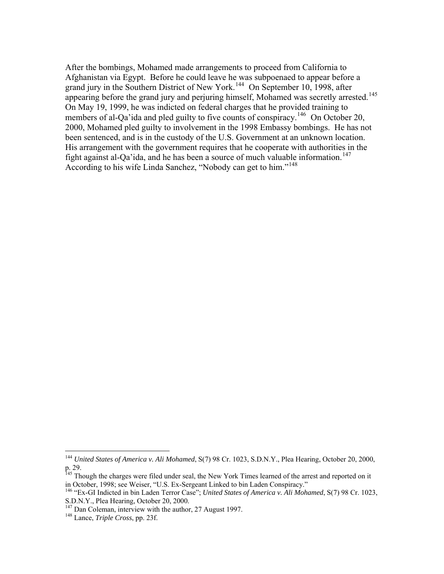[After the bombings, M](#page-17-6)ohamed made arrangements to proceed from California to Afghanistan via Egypt. Before he could leave he was subpoenaed to appear before a grand jury in the Southern District of New York.<sup>144</sup> On September 10, 1998, after appearing before the grand jury and perjuring himself, Mohamed was secretly arrested.<sup>145</sup> 2000, Mohamed pled guilty to involvement in the 1998 Embassy bombings. He has not His arrangement with the government requires that he cooperate with authorities in the On May 19, 1999, he was indicted on federal charges that he provided training to members of al-Qa'ida and pled guilty to five counts of conspiracy.<sup>[146](#page-18-0)</sup> On October 20, been sentenced, and is in the custody of the U.S. Government at an unknown location. fight against al-Qa'ida, and he has been a source of much valuable information.<sup>[147](#page-18-1)</sup> According to his wife Linda Sanchez, "Nobody can get to him."[148](#page-18-2)

<span id="page-18-0"></span><sup>144</sup> *United States of America v. Ali Mohamed*, S(7) 98 Cr. 1023, S.D.N.Y., Plea Hearing, October 20, 2000, p. 29.

<span id="page-18-1"></span><sup>&</sup>lt;sup>145</sup> Though the charges were filed under seal, the New York Times learned of the arrest and reported on it in October, 1998; see Weiser, "U.S. Ex-Sergeant Linked to bin Laden Conspiracy."

<span id="page-18-2"></span><sup>146 &</sup>quot;Ex-GI Indicted in bin Laden Terror Case"; *United States of America v. Ali Mohamed*, S(7) 98 Cr. 1023, S.D.N.Y., Plea Hearing, October 20, 2000.

<sup>147</sup> Dan Coleman, interview with the author, 27 August 1997. 148 Lance, *Triple Cross*, pp. 23f.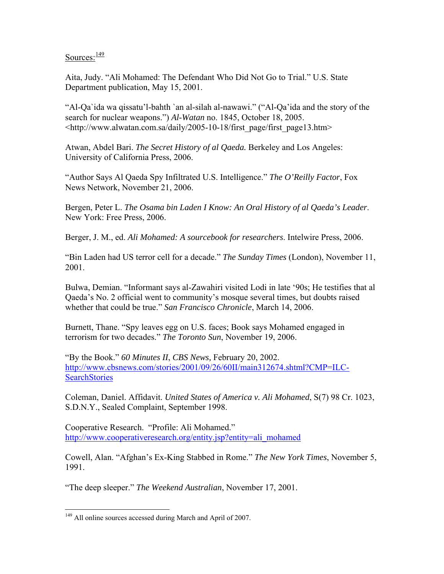Sources: $\frac{149}{149}$  $\frac{149}{149}$  $\frac{149}{149}$ 

Aita, Judy. "Ali Mohamed: The Defendant Who Did Not Go to Trial." U.S. State Department publication, May 15, 2001.

"Al-Qa`ida wa qissatu'l-bahth `an al-silah al-nawawi." ("Al-Qa'ida and the story of the search for nuclear weapons.") *Al-Watan* no. 1845, October 18, 2005. <http://www.alwatan.com.sa/daily/2005-10-18/first\_page/first\_page13.htm>

Atwan, Abdel Bari. *The Secret History of al Qaeda.* Berkeley and Los Angeles: University of California Press, 2006.

"Author Says Al Qaeda Spy Infiltrated U.S. Intelligence." *The O'Reilly Factor*, Fox News Network, November 21, 2006.

Bergen, Peter L. *The Osama bin Laden I Know: An Oral History of al Qaeda's Leader*. New York: Free Press, 2006.

Berger, J. M., ed. *Ali Mohamed: A sourcebook for researchers*. Intelwire Press, 2006.

"Bin Laden had US terror cell for a decade." *The Sunday Times* (London), November 11, 2001.

Bulwa, Demian. "Informant says al-Zawahiri visited Lodi in late '90s; He testifies that al Qaeda's No. 2 official went to community's mosque several times, but doubts raised whether that could be true." *San Francisco Chronicle*, March 14, 2006.

Burnett, Thane. "Spy leaves egg on U.S. faces; Book says Mohamed engaged in terrorism for two decades." *The Toronto Sun*, November 19, 2006.

"By the Book." *60 Minutes II*, *CBS News,* February 20, 2002. [http://www.cbsnews.com/stories/2001/09/26/60II/main312674.shtml?CMP=ILC-](http://www.cbsnews.com/stories/2001/09/26/60II/main312674.shtml?CMP=ILC-SearchStories)**[SearchStories](http://www.cbsnews.com/stories/2001/09/26/60II/main312674.shtml?CMP=ILC-SearchStories)** 

Coleman, Daniel. Affidavit. *United States of America v. Ali Mohamed*, S(7) 98 Cr. 1023, S.D.N.Y., Sealed Complaint, September 1998.

Cooperative Research. "Profile: Ali Mohamed." [http://www.cooperativeresearch.org/entity.jsp?entity=ali\\_mohamed](http://www.cooperativeresearch.org/entity.jsp?entity=ali_mohamed)

Cowell, Alan. "Afghan's Ex-King Stabbed in Rome." *The New York Times*, November 5, 1991.

"The deep sleeper." *The Weekend Australian*, November 17, 2001.

<span id="page-19-0"></span><sup>&</sup>lt;sup>149</sup> All online sources accessed during March and April of 2007.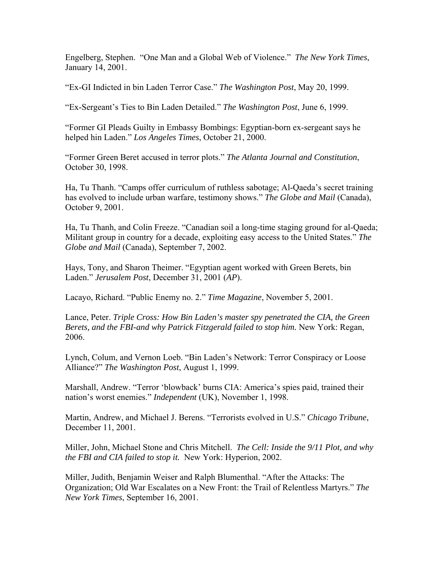Engelberg, Stephen. "One Man and a Global Web of Violence." *The New York Times*, January 14, 2001.

"Ex-GI Indicted in bin Laden Terror Case." *The Washington Post*, May 20, 1999.

"Ex-Sergeant's Ties to Bin Laden Detailed." *The Washington Post*, June 6, 1999.

"Former GI Pleads Guilty in Embassy Bombings: Egyptian-born ex-sergeant says he helped hin Laden." *Los Angeles Times*, October 21, 2000.

"Former Green Beret accused in terror plots." *The Atlanta Journal and Constitution*, October 30, 1998.

Ha, Tu Thanh. "Camps offer curriculum of ruthless sabotage; Al-Qaeda's secret training has evolved to include urban warfare, testimony shows." *The Globe and Mail* (Canada), October 9, 2001.

Ha, Tu Thanh, and Colin Freeze. "Canadian soil a long-time staging ground for al-Qaeda; Militant group in country for a decade, exploiting easy access to the United States." *The Globe and Mail* (Canada), September 7, 2002.

Hays, Tony, and Sharon Theimer. "Egyptian agent worked with Green Berets, bin Laden." *Jerusalem Post*, December 31, 2001 (*AP*).

Lacayo, Richard. "Public Enemy no. 2." *Time Magazine*, November 5, 2001.

Lance, Peter. *Triple Cross: How Bin Laden's master spy penetrated the CIA, the Green Berets, and the FBI-and why Patrick Fitzgerald failed to stop him.* New York: Regan, 2006.

Lynch, Colum, and Vernon Loeb. "Bin Laden's Network: Terror Conspiracy or Loose Alliance?" *The Washington Post*, August 1, 1999.

Marshall, Andrew. "Terror 'blowback' burns CIA: America's spies paid, trained their nation's worst enemies." *Independent* (UK), November 1, 1998.

Martin, Andrew, and Michael J. Berens. "Terrorists evolved in U.S." *Chicago Tribune*, December 11, 2001.

Miller, John, Michael Stone and Chris Mitchell. *The Cell: Inside the 9/11 Plot, and why the FBI and CIA failed to stop it.* New York: Hyperion, 2002.

Miller, Judith, Benjamin Weiser and Ralph Blumenthal. "After the Attacks: The Organization; Old War Escalates on a New Front: the Trail of Relentless Martyrs." *The New York Times*, September 16, 2001.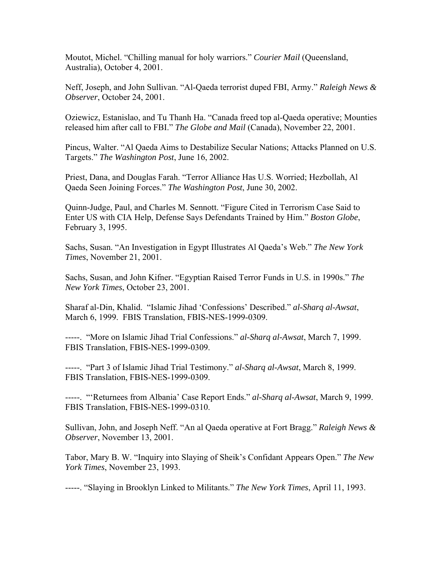Moutot, Michel. "Chilling manual for holy warriors." *Courier Mail* (Queensland, Australia), October 4, 2001.

Neff, Joseph, and John Sullivan. "Al-Qaeda terrorist duped FBI, Army." *Raleigh News & Observer*, October 24, 2001.

Oziewicz, Estanislao, and Tu Thanh Ha. "Canada freed top al-Qaeda operative; Mounties released him after call to FBI." *The Globe and Mail* (Canada), November 22, 2001.

Pincus, Walter. "Al Qaeda Aims to Destabilize Secular Nations; Attacks Planned on U.S. Targets." *The Washington Post*, June 16, 2002.

Priest, Dana, and Douglas Farah. "Terror Alliance Has U.S. Worried; Hezbollah, Al Qaeda Seen Joining Forces." *The Washington Post*, June 30, 2002.

Quinn-Judge, Paul, and Charles M. Sennott. "Figure Cited in Terrorism Case Said to Enter US with CIA Help, Defense Says Defendants Trained by Him." *Boston Globe*, February 3, 1995.

Sachs, Susan. "An Investigation in Egypt Illustrates Al Qaeda's Web." *The New York Times*, November 21, 2001.

Sachs, Susan, and John Kifner. "Egyptian Raised Terror Funds in U.S. in 1990s." *The New York Times*, October 23, 2001.

Sharaf al-Din, Khalid. "Islamic Jihad 'Confessions' Described." *al-Sharq al-Awsat*, March 6, 1999. FBIS Translation, FBIS-NES-1999-0309.

-----. "More on Islamic Jihad Trial Confessions." *al-Sharq al-Awsat*, March 7, 1999. FBIS Translation, FBIS-NES-1999-0309.

-----. "Part 3 of Islamic Jihad Trial Testimony." *al-Sharq al-Awsat*, March 8, 1999. FBIS Translation, FBIS-NES-1999-0309.

-----. "'Returnees from Albania' Case Report Ends." *al-Sharq al-Awsat*, March 9, 1999. FBIS Translation, FBIS-NES-1999-0310.

Sullivan, John, and Joseph Neff. "An al Qaeda operative at Fort Bragg." *Raleigh News & Observer*, November 13, 2001.

Tabor, Mary B. W. "Inquiry into Slaying of Sheik's Confidant Appears Open." *The New York Times*, November 23, 1993.

-----. "Slaying in Brooklyn Linked to Militants." *The New York Times*, April 11, 1993.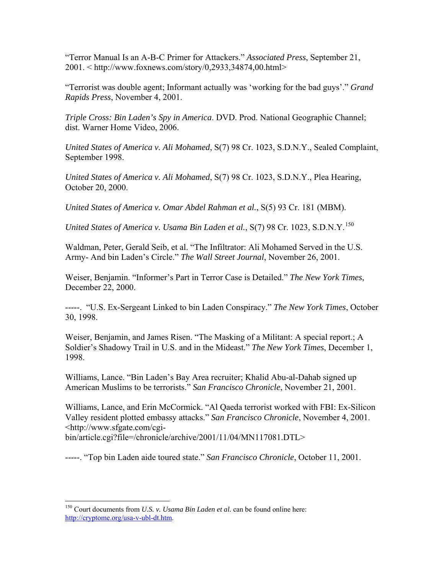"Terror Manual Is an A-B-C Primer for Attackers." *Associated Press*, September 21, 2001. < http://www.foxnews.com/story/0,2933,34874,00.html>

"Terrorist was double agent; Informant actually was 'working for the bad guys'." *Grand Rapids Press*, November 4, 2001.

*Triple Cross: Bin Laden's Spy in America*. DVD. Prod. National Geographic Channel; dist. Warner Home Video, 2006.

*United States of America v. Ali Mohamed*, S(7) 98 Cr. 1023, S.D.N.Y., Sealed Complaint, September 1998.

*United States of America v. Ali Mohamed*, S(7) 98 Cr. 1023, S.D.N.Y., Plea Hearing, October 20, 2000.

*United States of America v. Omar Abdel Rahman et al.*, S(5) 93 Cr. 181 (MBM).

*United States of America v. Usama Bin Laden et al.*, S(7) 98 Cr. 1023, S.D.N.Y.<sup>[150](#page-22-0)</sup>

Waldman, Peter, Gerald Seib, et al. "The Infiltrator: Ali Mohamed Served in the U.S. Army- And bin Laden's Circle." *The Wall Street Journal*, November 26, 2001.

Weiser, Benjamin. "Informer's Part in Terror Case is Detailed." *The New York Times*, December 22, 2000.

-----. "U.S. Ex-Sergeant Linked to bin Laden Conspiracy." *The New York Times*, October 30, 1998.

Weiser, Benjamin, and James Risen. "The Masking of a Militant: A special report.; A Soldier's Shadowy Trail in U.S. and in the Mideast." *The New York Times*, December 1, 1998.

Williams, Lance. "Bin Laden's Bay Area recruiter; Khalid Abu-al-Dahab signed up American Muslims to be terrorists." *San Francisco Chronicle*, November 21, 2001.

Williams, Lance, and Erin McCormick. "Al Qaeda terrorist worked with FBI: Ex-Silicon Valley resident plotted embassy attacks." *San Francisco Chronicle*, November 4, 2001. <http://www.sfgate.com/cgi-

bin/article.cgi?file=/chronicle/archive/2001/11/04/MN117081.DTL>

-----. "Top bin Laden aide toured state." *San Francisco Chronicle*, October 11, 2001.

<span id="page-22-0"></span><sup>150</sup> Court documents from *U.S. v. Usama Bin Laden et al.* can be found online here: <http://cryptome.org/usa-v-ubl-dt.htm>.